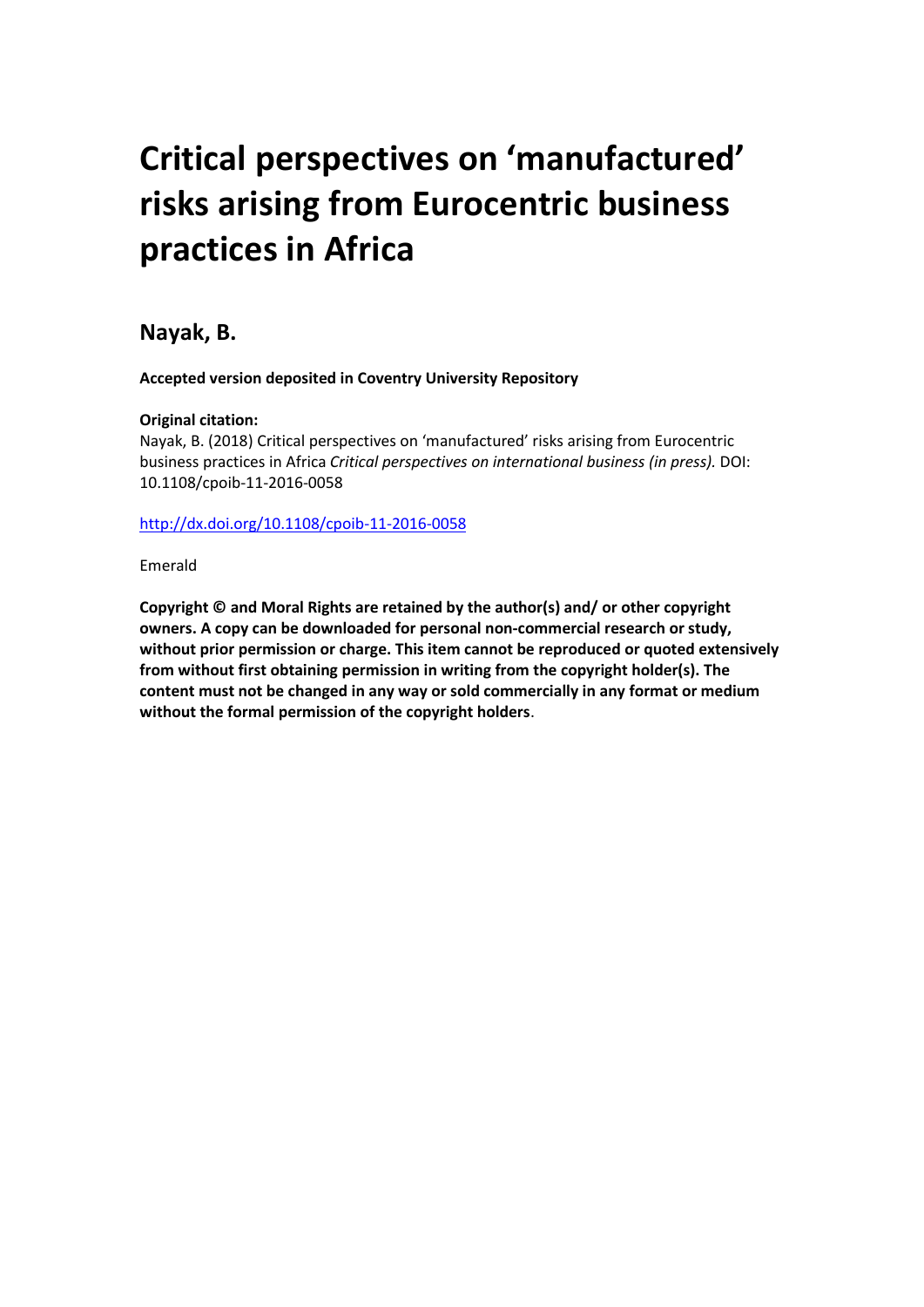# **Critical perspectives on 'manufactured' risks arising from Eurocentric business practices in Africa**

**Nayak, B.** 

**Accepted version deposited in Coventry University Repository**

# **Original citation:**

Nayak, B. (2018) Critical perspectives on 'manufactured' risks arising from Eurocentric business practices in Africa *Critical perspectives on international business (in press).* DOI: 10.1108/cpoib-11-2016-0058

<http://dx.doi.org/10.1108/cpoib-11-2016-0058>

Emerald

**Copyright © and Moral Rights are retained by the author(s) and/ or other copyright owners. A copy can be downloaded for personal non-commercial research or study, without prior permission or charge. This item cannot be reproduced or quoted extensively from without first obtaining permission in writing from the copyright holder(s). The content must not be changed in any way or sold commercially in any format or medium without the formal permission of the copyright holders**.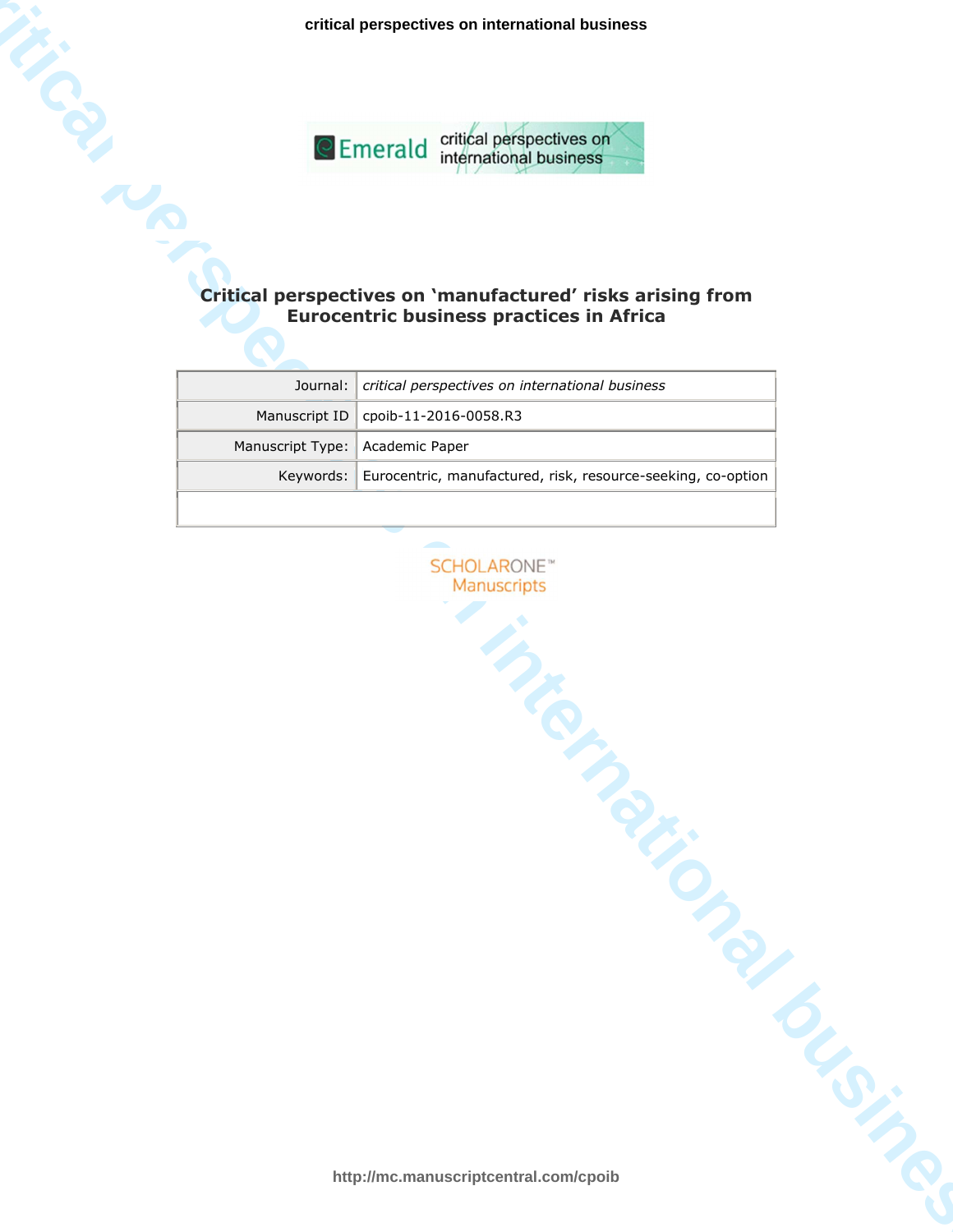**critical perspectives on international business**



# **Eurocentric business practices in Africa**

| C Emerald critical perspectives on<br>international business                                                  |                                                              |
|---------------------------------------------------------------------------------------------------------------|--------------------------------------------------------------|
|                                                                                                               |                                                              |
| Critical perspectives on 'manufactured' risks arising from<br><b>Eurocentric business practices in Africa</b> |                                                              |
|                                                                                                               |                                                              |
| Journal:                                                                                                      | critical perspectives on international business              |
| Manuscript ID                                                                                                 | cpoib-11-2016-0058.R3                                        |
| Manuscript Type:                                                                                              | Academic Paper                                               |
| Keywords:                                                                                                     | Eurocentric, manufactured, risk, resource-seeking, co-option |
| <b>SCHOLARONE</b> <sup>*</sup><br>Manuscripts<br>Mich<br><b>PRICE</b>                                         |                                                              |
| http://mc.manuscriptcentral.com/cpoib                                                                         |                                                              |

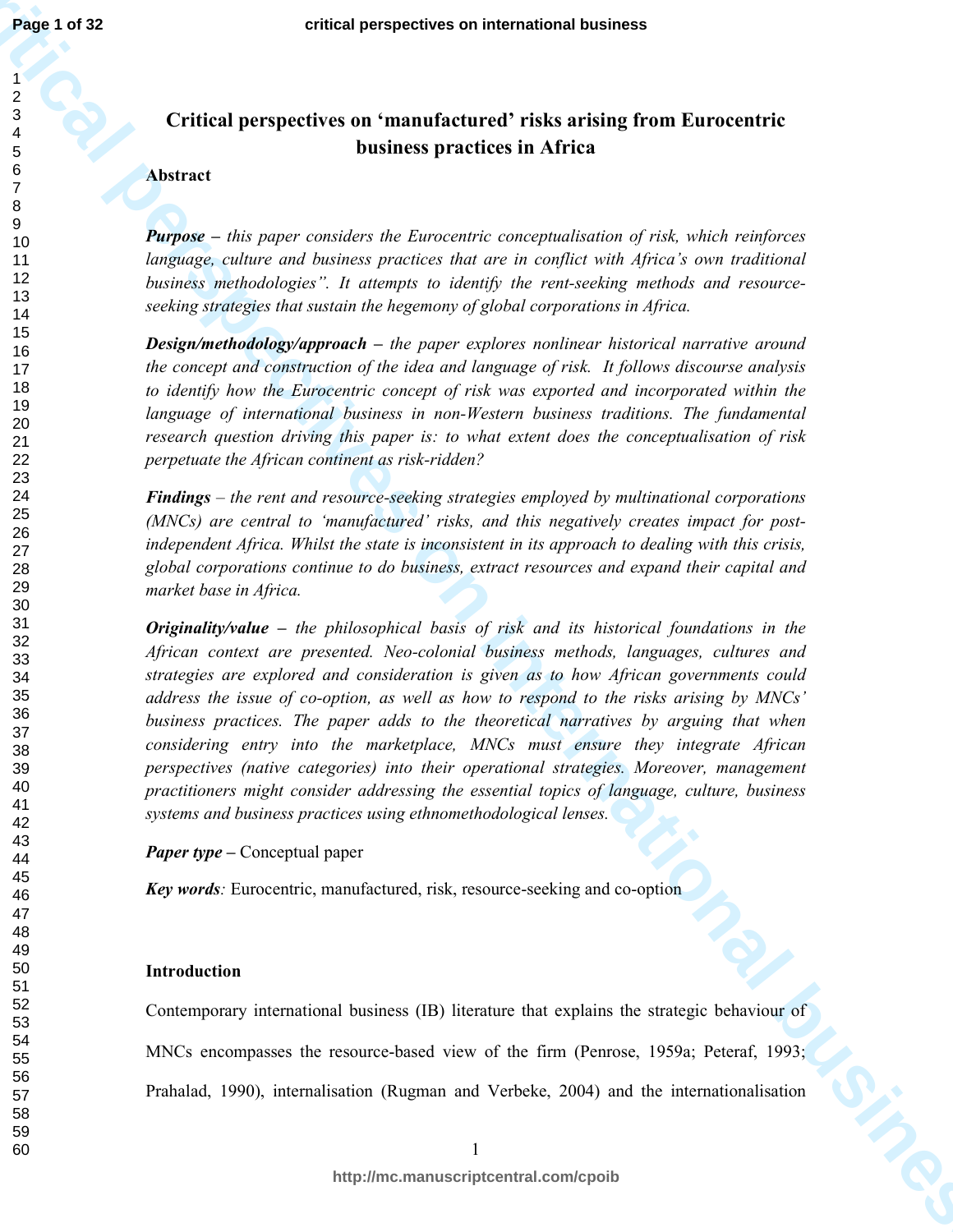# **Critical perspectives on 'manufactured' risks arising from Eurocentric business practices in Africa**

#### **Abstract**

*Purpose – this paper considers the Eurocentric conceptualisation of risk, which reinforces language, culture and business practices that are in conflict with Africa's own traditional business methodologies". It attempts to identify the rent-seeking methods and resourceseeking strategies that sustain the hegemony of global corporations in Africa.* 

*Design/methodology/approach – the paper explores nonlinear historical narrative around the concept and construction of the idea and language of risk. It follows discourse analysis to identify how the Eurocentric concept of risk was exported and incorporated within the language of international business in non-Western business traditions. The fundamental research question driving this paper is: to what extent does the conceptualisation of risk perpetuate the African continent as risk-ridden?* 

*Findings – the rent and resource-seeking strategies employed by multinational corporations (MNCs) are central to 'manufactured' risks, and this negatively creates impact for postindependent Africa. Whilst the state is inconsistent in its approach to dealing with this crisis, global corporations continue to do business, extract resources and expand their capital and market base in Africa.* 

**critical perspectives on international business** *Originality/value – the philosophical basis of risk and its historical foundations in the African context are presented. Neo-colonial business methods, languages, cultures and strategies are explored and consideration is given as to how African governments could address the issue of co-option, as well as how to respond to the risks arising by MNCs' business practices. The paper adds to the theoretical narratives by arguing that when considering entry into the marketplace, MNCs must ensure they integrate African perspectives (native categories) into their operational strategies. Moreover, management practitioners might consider addressing the essential topics of language, culture, business systems and business practices using ethnomethodological lenses.* 

*Paper type –* Conceptual paper

*Key words:* Eurocentric, manufactured, risk, resource-seeking and co-option

#### **Introduction**

Contemporary international business (IB) literature that explains the strategic behaviour of

MNCs encompasses the resource-based view of the firm (Penrose, 1959a; Peteraf, 1993;

Prahalad, 1990), internalisation (Rugman and Verbeke, 2004) and the internationalisation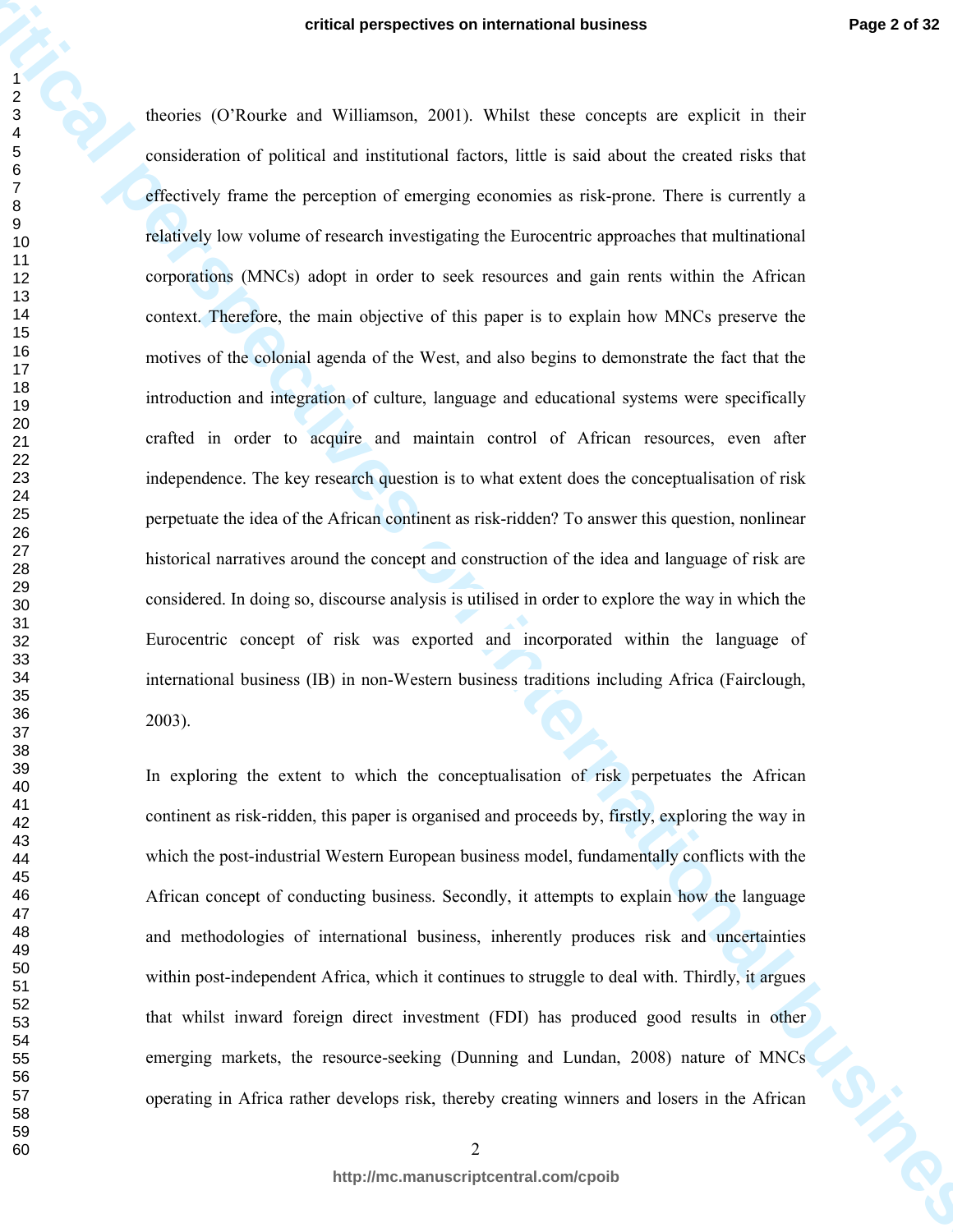**critical perspectives on international business**<br> **critical perspectives on Williamson**, 2001). While show an analysis are explisit in their consistention of political and internation faces, link is suitable shown in cons theories (O'Rourke and Williamson, 2001). Whilst these concepts are explicit in their consideration of political and institutional factors, little is said about the created risks that effectively frame the perception of emerging economies as risk-prone. There is currently a relatively low volume of research investigating the Eurocentric approaches that multinational corporations (MNCs) adopt in order to seek resources and gain rents within the African context. Therefore, the main objective of this paper is to explain how MNCs preserve the motives of the colonial agenda of the West, and also begins to demonstrate the fact that the introduction and integration of culture, language and educational systems were specifically crafted in order to acquire and maintain control of African resources, even after independence. The key research question is to what extent does the conceptualisation of risk perpetuate the idea of the African continent as risk-ridden? To answer this question, nonlinear historical narratives around the concept and construction of the idea and language of risk are considered. In doing so, discourse analysis is utilised in order to explore the way in which the Eurocentric concept of risk was exported and incorporated within the language of international business (IB) in non-Western business traditions including Africa (Fairclough, 2003).

In exploring the extent to which the conceptualisation of risk perpetuates the African continent as risk-ridden, this paper is organised and proceeds by, firstly, exploring the way in which the post-industrial Western European business model, fundamentally conflicts with the African concept of conducting business. Secondly, it attempts to explain how the language and methodologies of international business, inherently produces risk and uncertainties within post-independent Africa, which it continues to struggle to deal with. Thirdly, it argues that whilst inward foreign direct investment (FDI) has produced good results in other emerging markets, the resource-seeking (Dunning and Lundan, 2008) nature of MNCs operating in Africa rather develops risk, thereby creating winners and losers in the African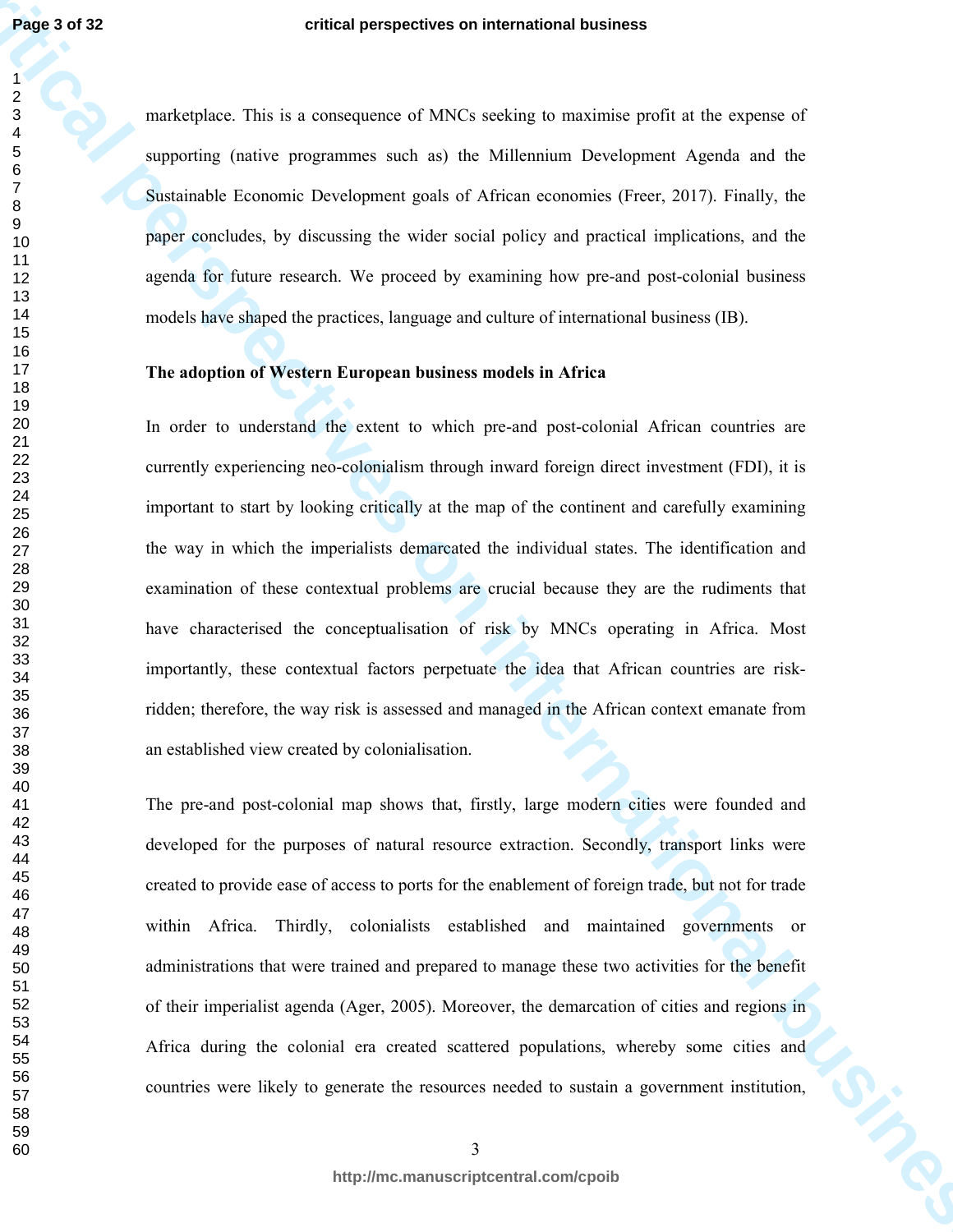marketplace. This is a consequence of MNCs seeking to maximise profit at the expense of supporting (native programmes such as) the Millennium Development Agenda and the Sustainable Economic Development goals of African economies (Freer, 2017). Finally, the paper concludes, by discussing the wider social policy and practical implications, and the agenda for future research. We proceed by examining how pre-and post-colonial business models have shaped the practices, language and culture of international business (IB).

# **The adoption of Western European business models in Africa**

**critical perspectives on international business** In order to understand the extent to which pre-and post-colonial African countries are currently experiencing neo-colonialism through inward foreign direct investment (FDI), it is important to start by looking critically at the map of the continent and carefully examining the way in which the imperialists demarcated the individual states. The identification and examination of these contextual problems are crucial because they are the rudiments that have characterised the conceptualisation of risk by MNCs operating in Africa. Most importantly, these contextual factors perpetuate the idea that African countries are riskridden; therefore, the way risk is assessed and managed in the African context emanate from an established view created by colonialisation.

The pre-and post-colonial map shows that, firstly, large modern cities were founded and developed for the purposes of natural resource extraction. Secondly, transport links were created to provide ease of access to ports for the enablement of foreign trade, but not for trade within Africa. Thirdly, colonialists established and maintained governments or administrations that were trained and prepared to manage these two activities for the benefit of their imperialist agenda (Ager, 2005). Moreover, the demarcation of cities and regions in Africa during the colonial era created scattered populations, whereby some cities and countries were likely to generate the resources needed to sustain a government institution,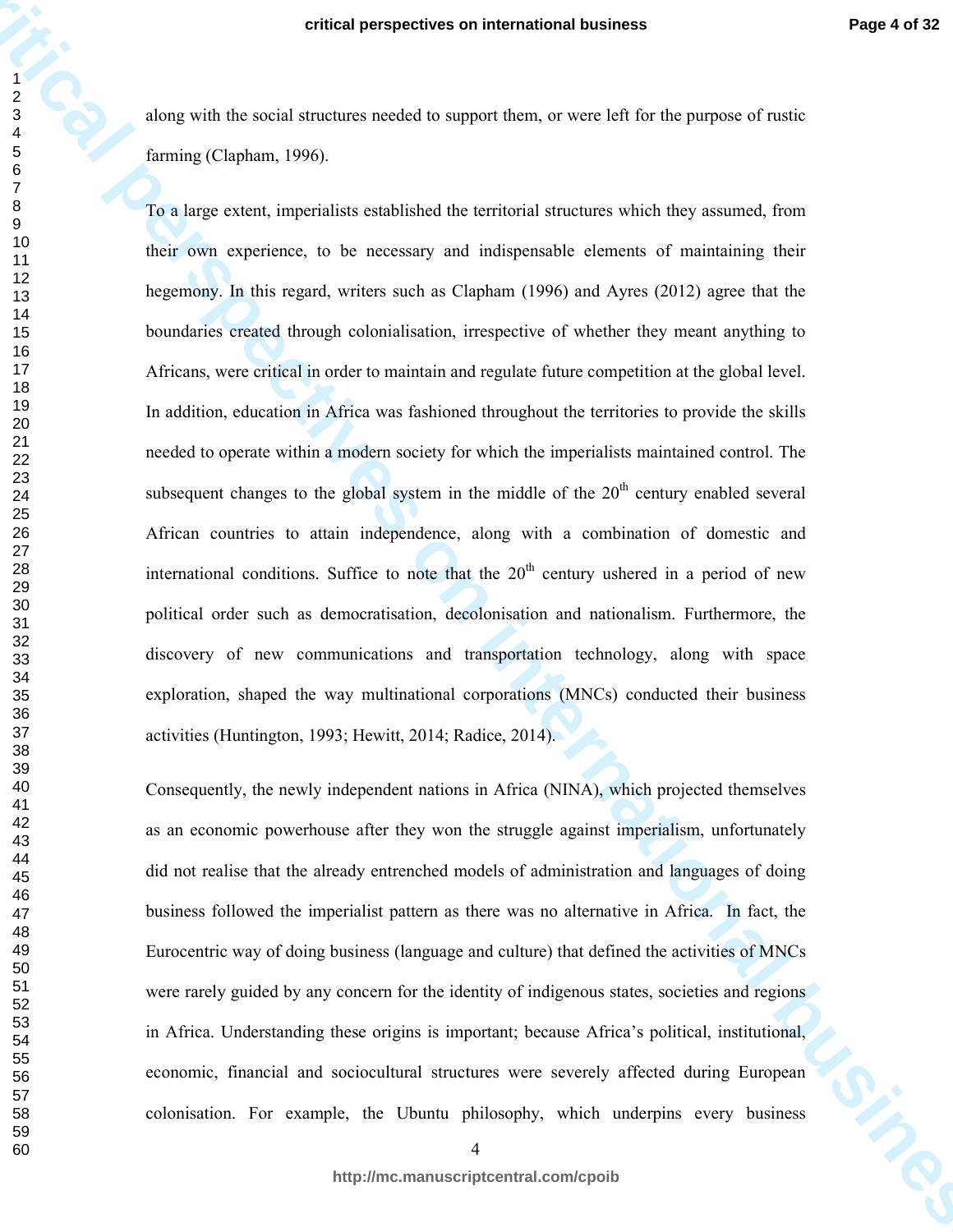along with the social structures needed to support them, or were left for the purpose of rustic farming (Clapham, 1996).

**critical perspectives on international business**<br>  $\frac{1}{2}$ <br>
along with the stabil dimension reached to support from, or were left for the purpose of ratio<br>
for ming (Chaption, 1996)<br>
The histographic process on the stat To a large extent, imperialists established the territorial structures which they assumed, from their own experience, to be necessary and indispensable elements of maintaining their hegemony. In this regard, writers such as Clapham (1996) and Ayres (2012) agree that the boundaries created through colonialisation, irrespective of whether they meant anything to Africans, were critical in order to maintain and regulate future competition at the global level. In addition, education in Africa was fashioned throughout the territories to provide the skills needed to operate within a modern society for which the imperialists maintained control. The subsequent changes to the global system in the middle of the  $20<sup>th</sup>$  century enabled several African countries to attain independence, along with a combination of domestic and international conditions. Suffice to note that the  $20<sup>th</sup>$  century ushered in a period of new political order such as democratisation, decolonisation and nationalism. Furthermore, the discovery of new communications and transportation technology, along with space exploration, shaped the way multinational corporations (MNCs) conducted their business activities (Huntington, 1993; Hewitt, 2014; Radice, 2014).

Consequently, the newly independent nations in Africa (NINA), which projected themselves as an economic powerhouse after they won the struggle against imperialism, unfortunately did not realise that the already entrenched models of administration and languages of doing business followed the imperialist pattern as there was no alternative in Africa. In fact, the Eurocentric way of doing business (language and culture) that defined the activities of MNCs were rarely guided by any concern for the identity of indigenous states, societies and regions in Africa. Understanding these origins is important; because Africa's political, institutional, economic, financial and sociocultural structures were severely affected during European colonisation. For example, the Ubuntu philosophy, which underpins every business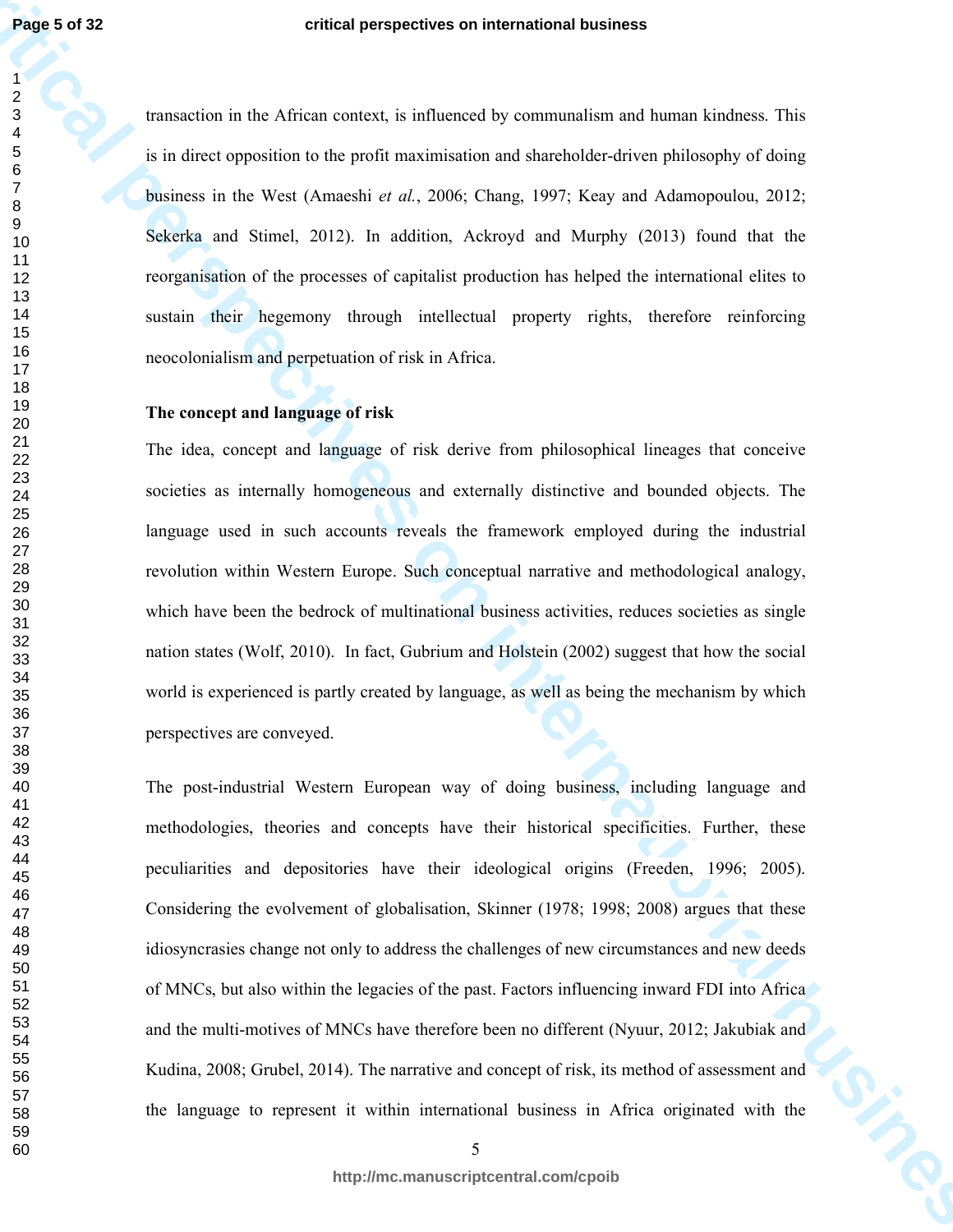transaction in the African context, is influenced by communalism and human kindness. This is in direct opposition to the profit maximisation and shareholder-driven philosophy of doing business in the West (Amaeshi *et al.*, 2006; Chang, 1997; Keay and Adamopoulou, 2012; Sekerka and Stimel, 2012). In addition, Ackroyd and Murphy (2013) found that the reorganisation of the processes of capitalist production has helped the international elites to sustain their hegemony through intellectual property rights, therefore reinforcing neocolonialism and perpetuation of risk in Africa.

# **The concept and language of risk**

The idea, concept and language of risk derive from philosophical lineages that conceive societies as internally homogeneous and externally distinctive and bounded objects. The language used in such accounts reveals the framework employed during the industrial revolution within Western Europe. Such conceptual narrative and methodological analogy, which have been the bedrock of multinational business activities, reduces societies as single nation states (Wolf, 2010). In fact, Gubrium and Holstein (2002) suggest that how the social world is experienced is partly created by language, as well as being the mechanism by which perspectives are conveyed.

**critical perspectives on international business** The post-industrial Western European way of doing business, including language and methodologies, theories and concepts have their historical specificities. Further, these peculiarities and depositories have their ideological origins (Freeden, 1996; 2005). Considering the evolvement of globalisation, Skinner (1978; 1998; 2008) argues that these idiosyncrasies change not only to address the challenges of new circumstances and new deeds of MNCs, but also within the legacies of the past. Factors influencing inward FDI into Africa and the multi-motives of MNCs have therefore been no different (Nyuur, 2012; Jakubiak and Kudina, 2008; Grubel, 2014). The narrative and concept of risk, its method of assessment and the language to represent it within international business in Africa originated with the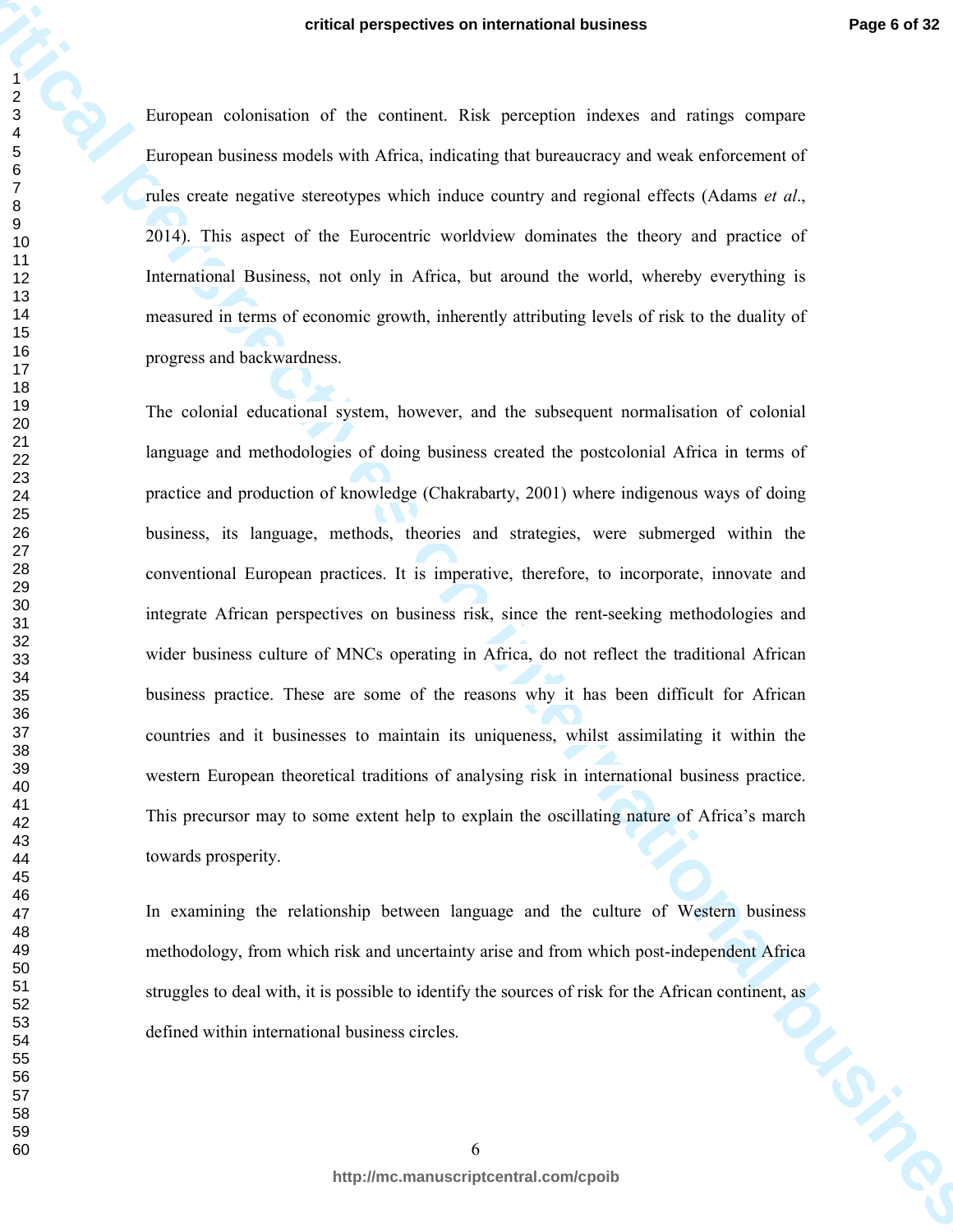European colonisation of the continent. Risk perception indexes and ratings compare European business models with Africa, indicating that bureaucracy and weak enforcement of rules create negative stereotypes which induce country and regional effects (Adams *et al*., 2014). This aspect of the Eurocentric worldview dominates the theory and practice of International Business, not only in Africa, but around the world, whereby everything is measured in terms of economic growth, inherently attributing levels of risk to the duality of progress and backwardness.

**critical perspectives on international business** The colonial educational system, however, and the subsequent normalisation of colonial language and methodologies of doing business created the postcolonial Africa in terms of practice and production of knowledge (Chakrabarty, 2001) where indigenous ways of doing business, its language, methods, theories and strategies, were submerged within the conventional European practices. It is imperative, therefore, to incorporate, innovate and integrate African perspectives on business risk, since the rent-seeking methodologies and wider business culture of MNCs operating in Africa, do not reflect the traditional African business practice. These are some of the reasons why it has been difficult for African countries and it businesses to maintain its uniqueness, whilst assimilating it within the western European theoretical traditions of analysing risk in international business practice. This precursor may to some extent help to explain the oscillating nature of Africa's march towards prosperity.

In examining the relationship between language and the culture of Western business methodology, from which risk and uncertainty arise and from which post-independent Africa struggles to deal with, it is possible to identify the sources of risk for the African continent, as<br>defined within international business circles. defined within international business circles.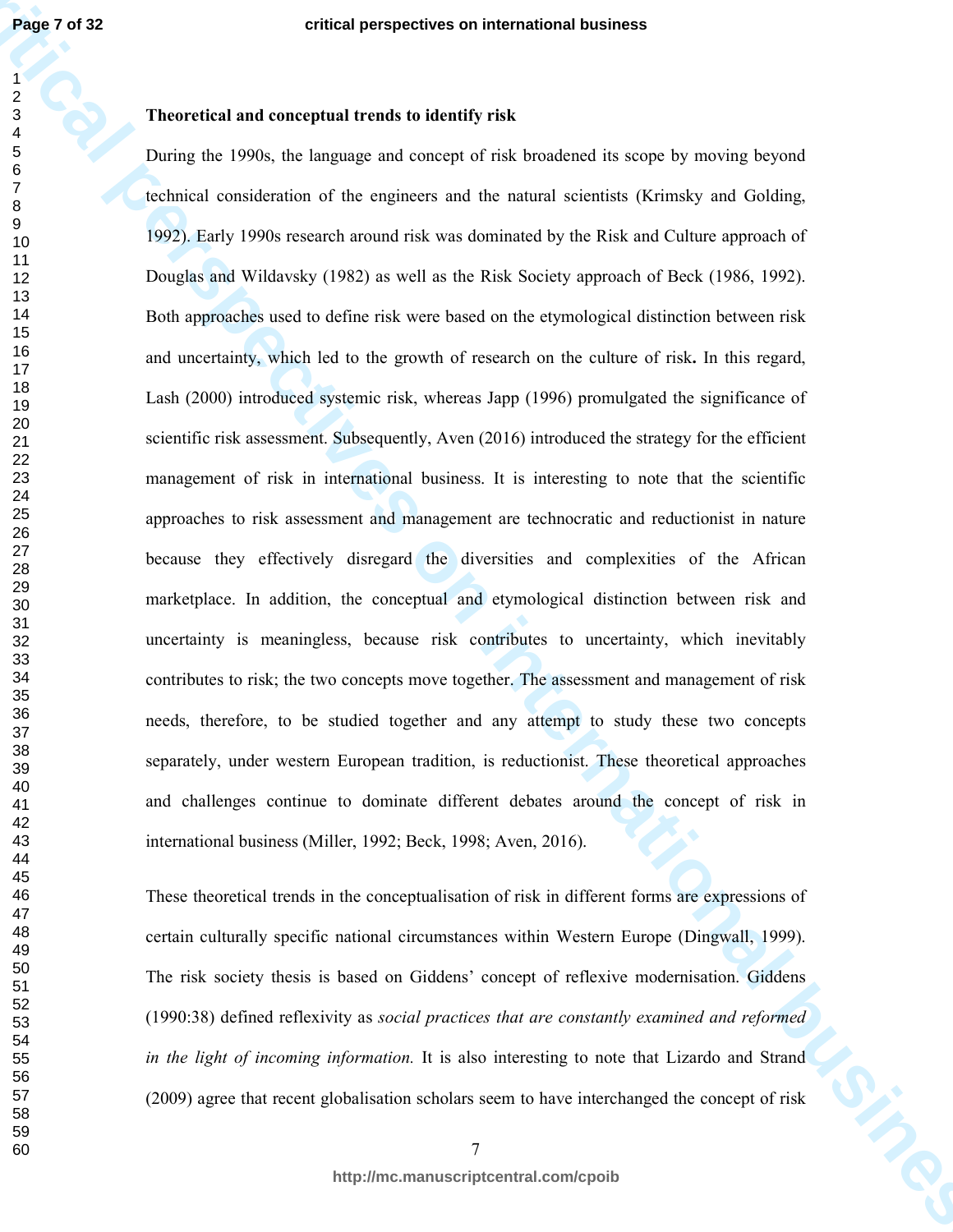**Page 7 of 32**

## **Theoretical and conceptual trends to identify risk**

**Page 7 of 32**<br> **critical and conegenul Frends to identify viole<br>
2 critical and conegenul Frends to identify viole<br>
2 Decire do 1996, the largenge and conege of viole business (keeping waveley byginal<br>
2 Decire do associ** During the 1990s, the language and concept of risk broadened its scope by moving beyond technical consideration of the engineers and the natural scientists (Krimsky and Golding, 1992). Early 1990s research around risk was dominated by the Risk and Culture approach of Douglas and Wildavsky (1982) as well as the Risk Society approach of Beck (1986, 1992). Both approaches used to define risk were based on the etymological distinction between risk and uncertainty, which led to the growth of research on the culture of risk**.** In this regard, Lash (2000) introduced systemic risk, whereas Japp (1996) promulgated the significance of scientific risk assessment. Subsequently, Aven (2016) introduced the strategy for the efficient management of risk in international business. It is interesting to note that the scientific approaches to risk assessment and management are technocratic and reductionist in nature because they effectively disregard the diversities and complexities of the African marketplace. In addition, the conceptual and etymological distinction between risk and uncertainty is meaningless, because risk contributes to uncertainty, which inevitably contributes to risk; the two concepts move together. The assessment and management of risk needs, therefore, to be studied together and any attempt to study these two concepts separately, under western European tradition, is reductionist. These theoretical approaches and challenges continue to dominate different debates around the concept of risk in international business (Miller, 1992; Beck, 1998; Aven, 2016).

These theoretical trends in the conceptualisation of risk in different forms are expressions of certain culturally specific national circumstances within Western Europe (Dingwall, 1999). The risk society thesis is based on Giddens' concept of reflexive modernisation. Giddens (1990:38) defined reflexivity as *social practices that are constantly examined and reformed in the light of incoming information.* It is also interesting to note that Lizardo and Strand (2009) agree that recent globalisation scholars seem to have interchanged the concept of risk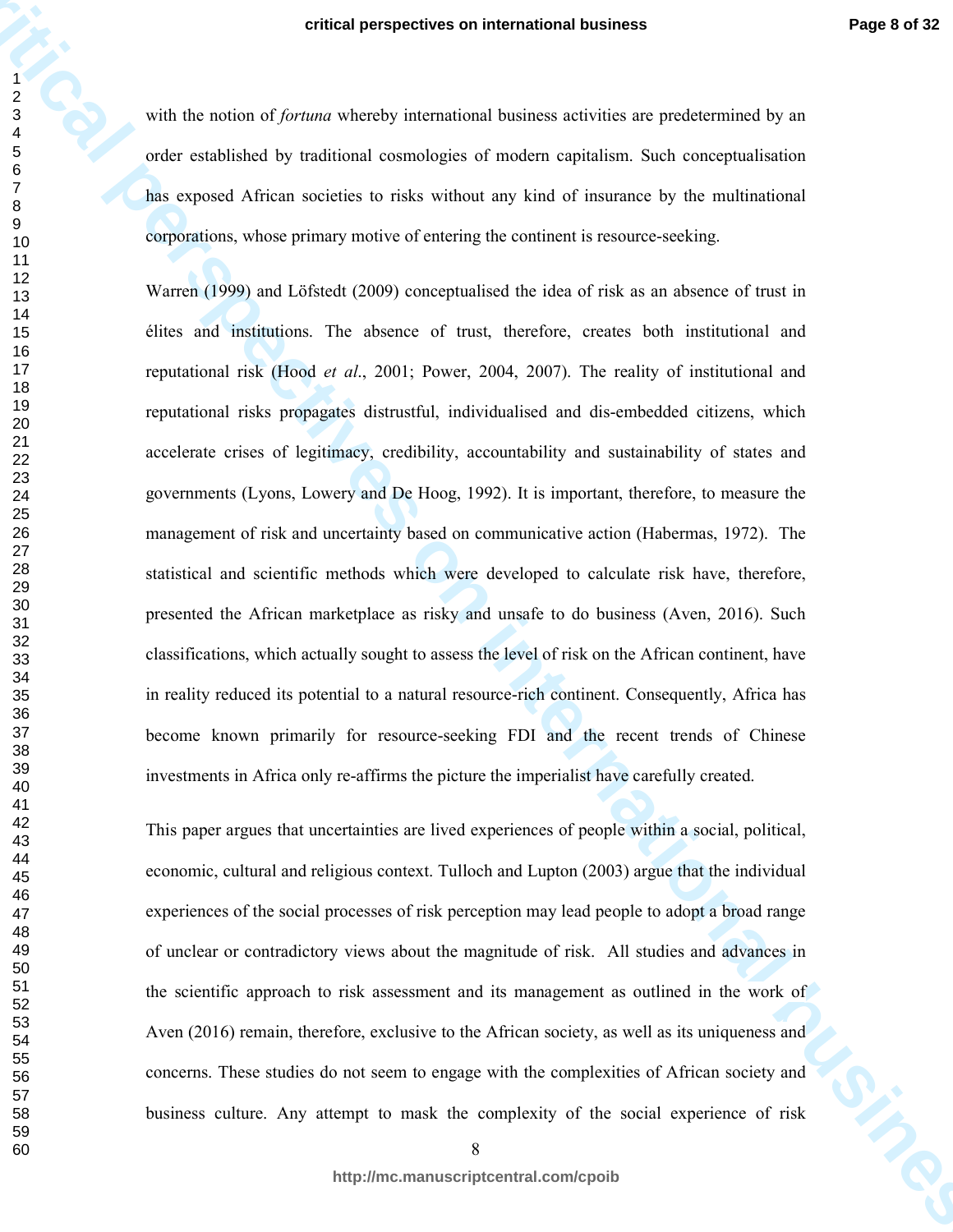with the notion of *fortuna* whereby international business activities are predetermined by an order established by traditional cosmologies of modern capitalism. Such conceptualisation has exposed African societies to risks without any kind of insurance by the multinational corporations, whose primary motive of entering the continent is resource-seeking.

**critical perspectives on international business**<br>  $\frac{2}{3}$ <br>
with the value of *formion* wheneby international hundred consistence perspectives of productives of explicited by an enter-<br>  $\frac{2}{3}$  and  $\frac{2}{3}$  and  $\frac{2$ Warren (1999) and Löfstedt (2009) conceptualised the idea of risk as an absence of trust in élites and institutions. The absence of trust, therefore, creates both institutional and reputational risk (Hood *et al*., 2001; Power, 2004, 2007). The reality of institutional and reputational risks propagates distrustful, individualised and dis-embedded citizens, which accelerate crises of legitimacy, credibility, accountability and sustainability of states and governments (Lyons, Lowery and De Hoog, 1992). It is important, therefore, to measure the management of risk and uncertainty based on communicative action (Habermas, 1972). The statistical and scientific methods which were developed to calculate risk have, therefore, presented the African marketplace as risky and unsafe to do business (Aven, 2016). Such classifications, which actually sought to assess the level of risk on the African continent, have in reality reduced its potential to a natural resource-rich continent. Consequently, Africa has become known primarily for resource-seeking FDI and the recent trends of Chinese investments in Africa only re-affirms the picture the imperialist have carefully created.

This paper argues that uncertainties are lived experiences of people within a social, political, economic, cultural and religious context. Tulloch and Lupton (2003) argue that the individual experiences of the social processes of risk perception may lead people to adopt a broad range of unclear or contradictory views about the magnitude of risk. All studies and advances in the scientific approach to risk assessment and its management as outlined in the work of Aven (2016) remain, therefore, exclusive to the African society, as well as its uniqueness and concerns. These studies do not seem to engage with the complexities of African society and business culture. Any attempt to mask the complexity of the social experience of risk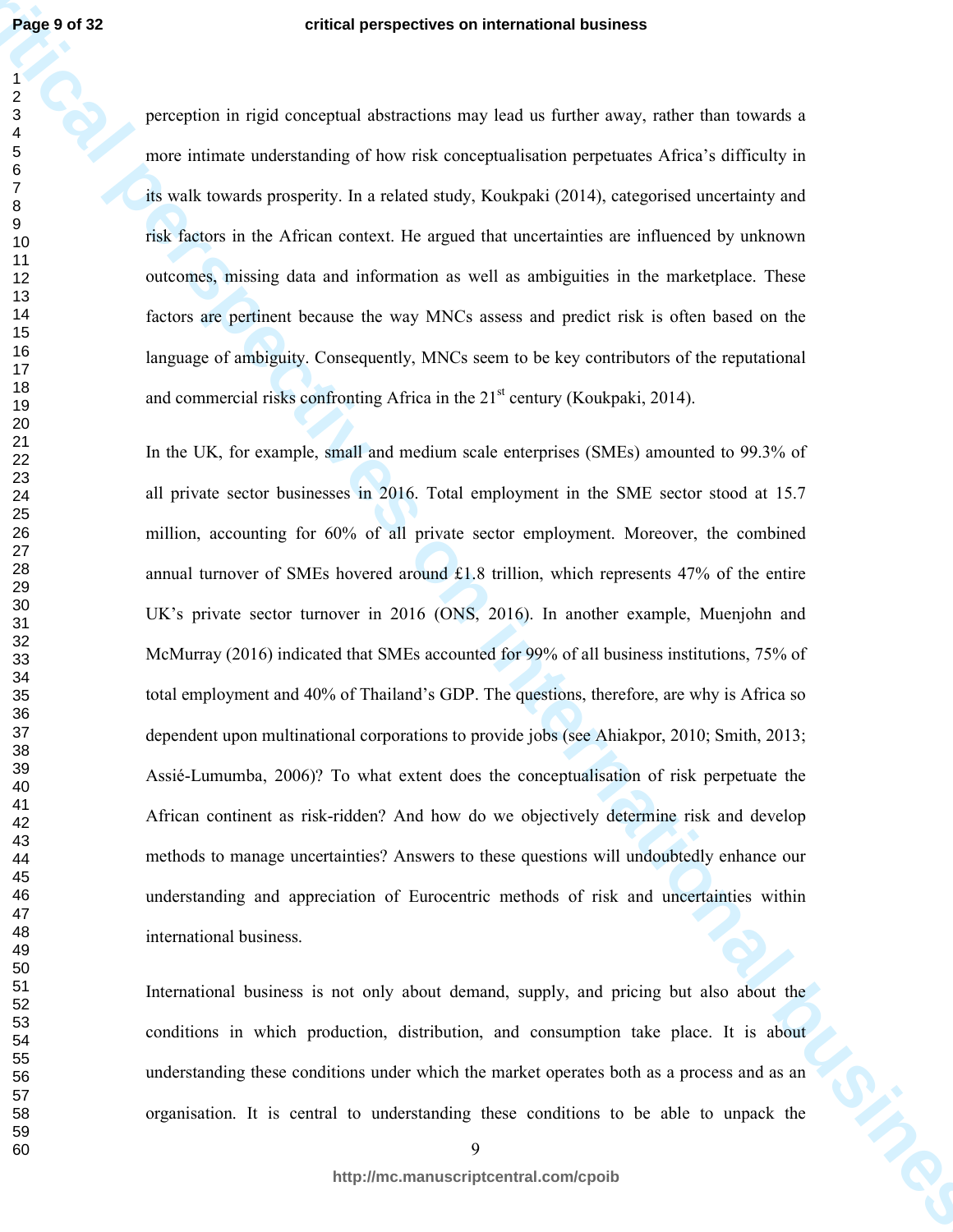perception in rigid conceptual abstractions may lead us further away, rather than towards a more intimate understanding of how risk conceptualisation perpetuates Africa's difficulty in its walk towards prosperity. In a related study, Koukpaki (2014), categorised uncertainty and risk factors in the African context. He argued that uncertainties are influenced by unknown outcomes, missing data and information as well as ambiguities in the marketplace. These factors are pertinent because the way MNCs assess and predict risk is often based on the language of ambiguity. Consequently, MNCs seem to be key contributors of the reputational and commercial risks confronting Africa in the  $21<sup>st</sup>$  century (Koukpaki, 2014).

**Page 19 d 32**<br>
center in rigid conceptual obverseless on international business<br>
2<br>
convertises incident as the conceptual distribution perspectives on their difficulty in<br>
convertises incorrecting of the rich conceptual In the UK, for example, small and medium scale enterprises (SMEs) amounted to 99.3% of all private sector businesses in 2016. Total employment in the SME sector stood at 15.7 million, accounting for 60% of all private sector employment. Moreover, the combined annual turnover of SMEs hovered around £1.8 trillion, which represents 47% of the entire UK's private sector turnover in 2016 (ONS, 2016). In another example, Muenjohn and McMurray (2016) indicated that SMEs accounted for 99% of all business institutions, 75% of total employment and 40% of Thailand's GDP. The questions, therefore, are why is Africa so dependent upon multinational corporations to provide jobs (see Ahiakpor, 2010; Smith, 2013; Assié-Lumumba, 2006)? To what extent does the conceptualisation of risk perpetuate the African continent as risk-ridden? And how do we objectively determine risk and develop methods to manage uncertainties? Answers to these questions will undoubtedly enhance our understanding and appreciation of Eurocentric methods of risk and uncertainties within international business.

International business is not only about demand, supply, and pricing but also about the conditions in which production, distribution, and consumption take place. It is about understanding these conditions under which the market operates both as a process and as an organisation. It is central to understanding these conditions to be able to unpack the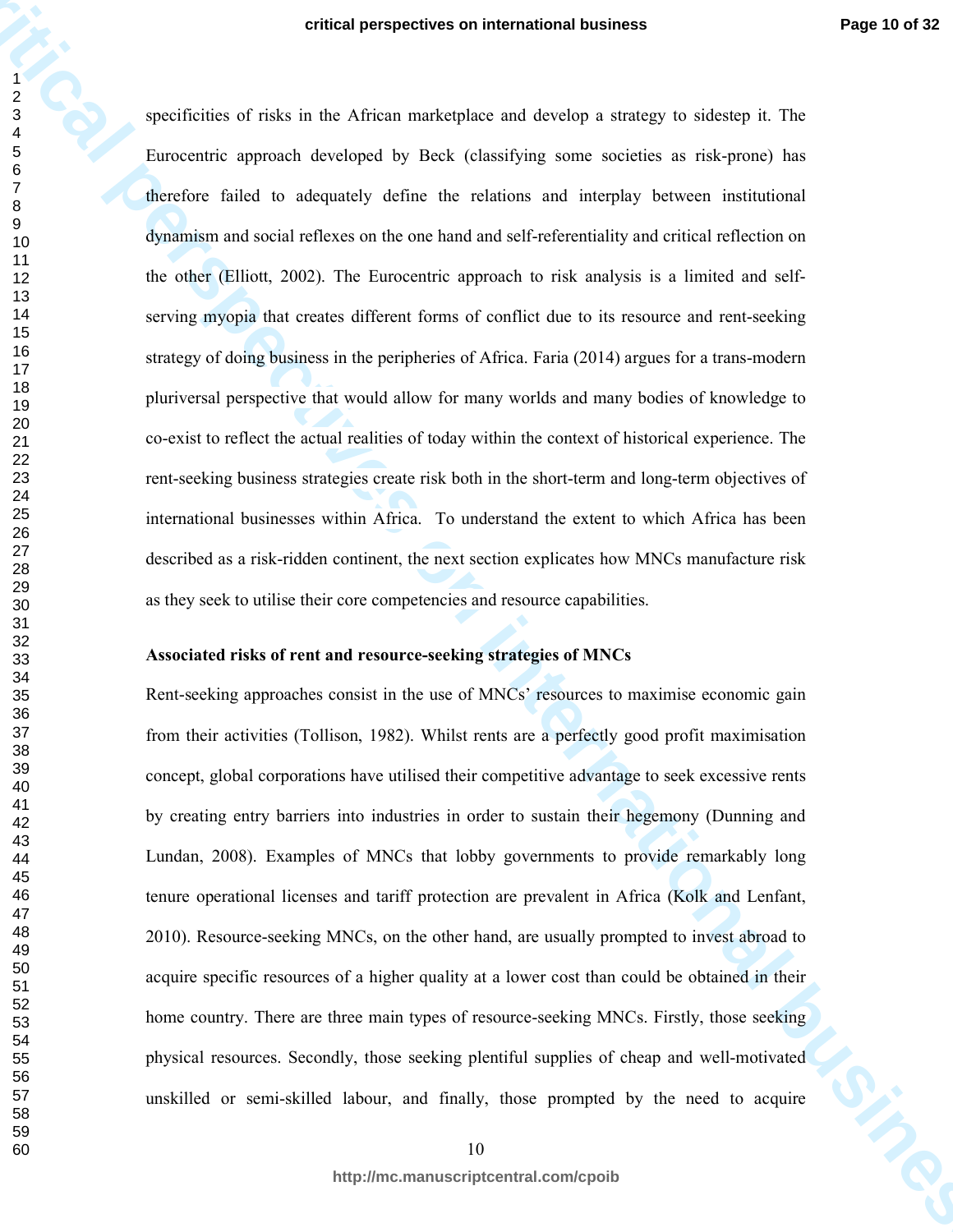**critics** perspectives on international business **Proper O of 22**<br>
expectively in the officient method by the set of the set of the proper strategies of the properties and<br>  $\frac{2}{5}$  there exists this of the definitely def specificities of risks in the African marketplace and develop a strategy to sidestep it. The Eurocentric approach developed by Beck (classifying some societies as risk-prone) has therefore failed to adequately define the relations and interplay between institutional dynamism and social reflexes on the one hand and self-referentiality and critical reflection on the other (Elliott, 2002). The Eurocentric approach to risk analysis is a limited and selfserving myopia that creates different forms of conflict due to its resource and rent-seeking strategy of doing business in the peripheries of Africa. Faria (2014) argues for a trans-modern pluriversal perspective that would allow for many worlds and many bodies of knowledge to co-exist to reflect the actual realities of today within the context of historical experience. The rent-seeking business strategies create risk both in the short-term and long-term objectives of international businesses within Africa. To understand the extent to which Africa has been described as a risk-ridden continent, the next section explicates how MNCs manufacture risk as they seek to utilise their core competencies and resource capabilities.

### **Associated risks of rent and resource-seeking strategies of MNCs**

Rent-seeking approaches consist in the use of MNCs' resources to maximise economic gain from their activities (Tollison, 1982). Whilst rents are a perfectly good profit maximisation concept, global corporations have utilised their competitive advantage to seek excessive rents by creating entry barriers into industries in order to sustain their hegemony (Dunning and Lundan, 2008). Examples of MNCs that lobby governments to provide remarkably long tenure operational licenses and tariff protection are prevalent in Africa (Kolk and Lenfant, 2010). Resource-seeking MNCs, on the other hand, are usually prompted to invest abroad to acquire specific resources of a higher quality at a lower cost than could be obtained in their home country. There are three main types of resource-seeking MNCs. Firstly, those seeking physical resources. Secondly, those seeking plentiful supplies of cheap and well-motivated unskilled or semi-skilled labour, and finally, those prompted by the need to acquire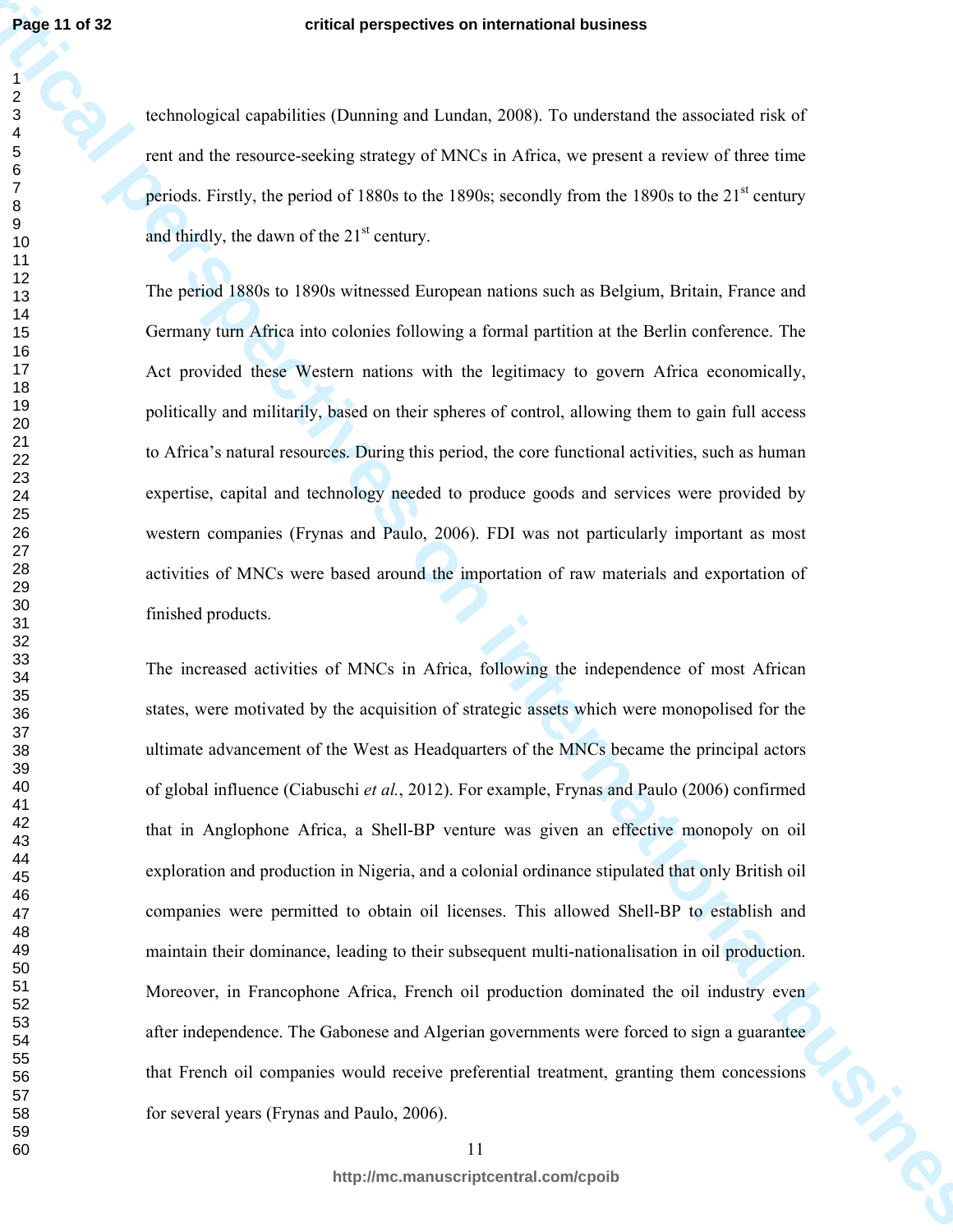**Page 11 of 32**

 

#### **critical perspectives on international business**

technological capabilities (Dunning and Lundan, 2008). To understand the associated risk of rent and the resource-seeking strategy of MNCs in Africa, we present a review of three time periods. Firstly, the period of 1880s to the 1890s; secondly from the 1890s to the  $21<sup>st</sup>$  century and thirdly, the dawn of the  $21<sup>st</sup>$  century.

The period 1880s to 1890s witnessed European nations such as Belgium, Britain, France and Germany turn Africa into colonies following a formal partition at the Berlin conference. The Act provided these Western nations with the legitimacy to govern Africa economically, politically and militarily, based on their spheres of control, allowing them to gain full access to Africa's natural resources. During this period, the core functional activities, such as human expertise, capital and technology needed to produce goods and services were provided by western companies (Frynas and Paulo, 2006). FDI was not particularly important as most activities of MNCs were based around the importation of raw materials and exportation of finished products.

**Page 11 of 32**<br>
contain generation of the procedure of Damies and Lamba 2008). To understand the secondard risk of<br>
real and the resource subing attempts and Lamba 2008). For understand the secondarity of the secondary t The increased activities of MNCs in Africa, following the independence of most African states, were motivated by the acquisition of strategic assets which were monopolised for the ultimate advancement of the West as Headquarters of the MNCs became the principal actors of global influence (Ciabuschi *et al.*, 2012). For example, Frynas and Paulo (2006) confirmed that in Anglophone Africa, a Shell-BP venture was given an effective monopoly on oil exploration and production in Nigeria, and a colonial ordinance stipulated that only British oil companies were permitted to obtain oil licenses. This allowed Shell-BP to establish and maintain their dominance, leading to their subsequent multi-nationalisation in oil production. Moreover, in Francophone Africa, French oil production dominated the oil industry even after independence. The Gabonese and Algerian governments were forced to sign a guarantee that French oil companies would receive preferential treatment, granting them concessions for several years (Frynas and Paulo, 2006).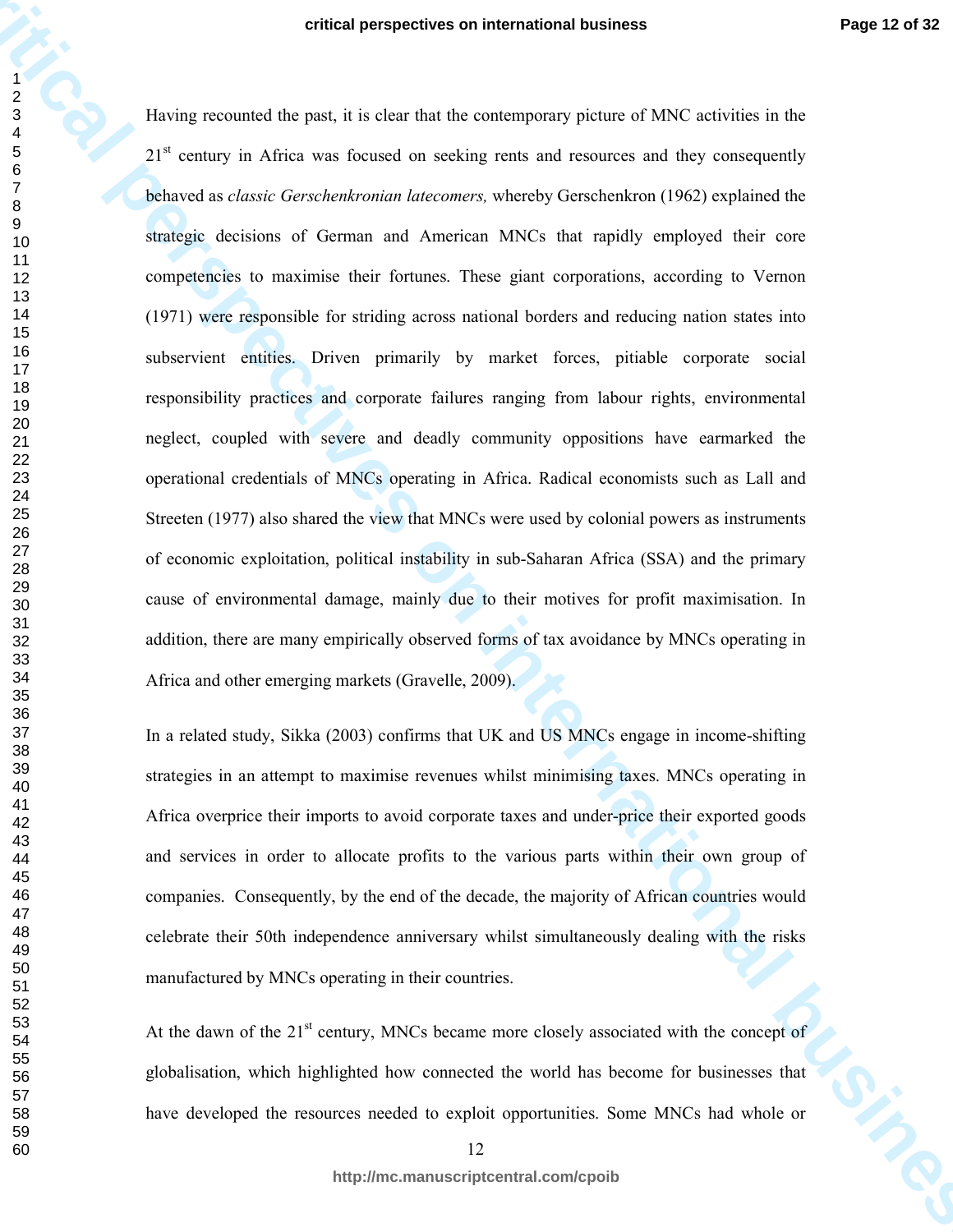**critical perspectives on international business** Having recounted the past, it is clear that the contemporary picture of MNC activities in the 21<sup>st</sup> century in Africa was focused on seeking rents and resources and they consequently behaved as *classic Gerschenkronian latecomers,* whereby Gerschenkron (1962) explained the strategic decisions of German and American MNCs that rapidly employed their core competencies to maximise their fortunes. These giant corporations, according to Vernon (1971) were responsible for striding across national borders and reducing nation states into subservient entities. Driven primarily by market forces, pitiable corporate social responsibility practices and corporate failures ranging from labour rights, environmental neglect, coupled with severe and deadly community oppositions have earmarked the operational credentials of MNCs operating in Africa. Radical economists such as Lall and Streeten (1977) also shared the view that MNCs were used by colonial powers as instruments of economic exploitation, political instability in sub-Saharan Africa (SSA) and the primary cause of environmental damage, mainly due to their motives for profit maximisation. In addition, there are many empirically observed forms of tax avoidance by MNCs operating in Africa and other emerging markets (Gravelle, 2009).

In a related study, Sikka (2003) confirms that UK and US MNCs engage in income-shifting strategies in an attempt to maximise revenues whilst minimising taxes. MNCs operating in Africa overprice their imports to avoid corporate taxes and under-price their exported goods and services in order to allocate profits to the various parts within their own group of companies. Consequently, by the end of the decade, the majority of African countries would celebrate their 50th independence anniversary whilst simultaneously dealing with the risks manufactured by MNCs operating in their countries.

At the dawn of the  $21<sup>st</sup>$  century, MNCs became more closely associated with the concept of globalisation, which highlighted how connected the world has become for businesses that have developed the resources needed to exploit opportunities. Some MNCs had whole or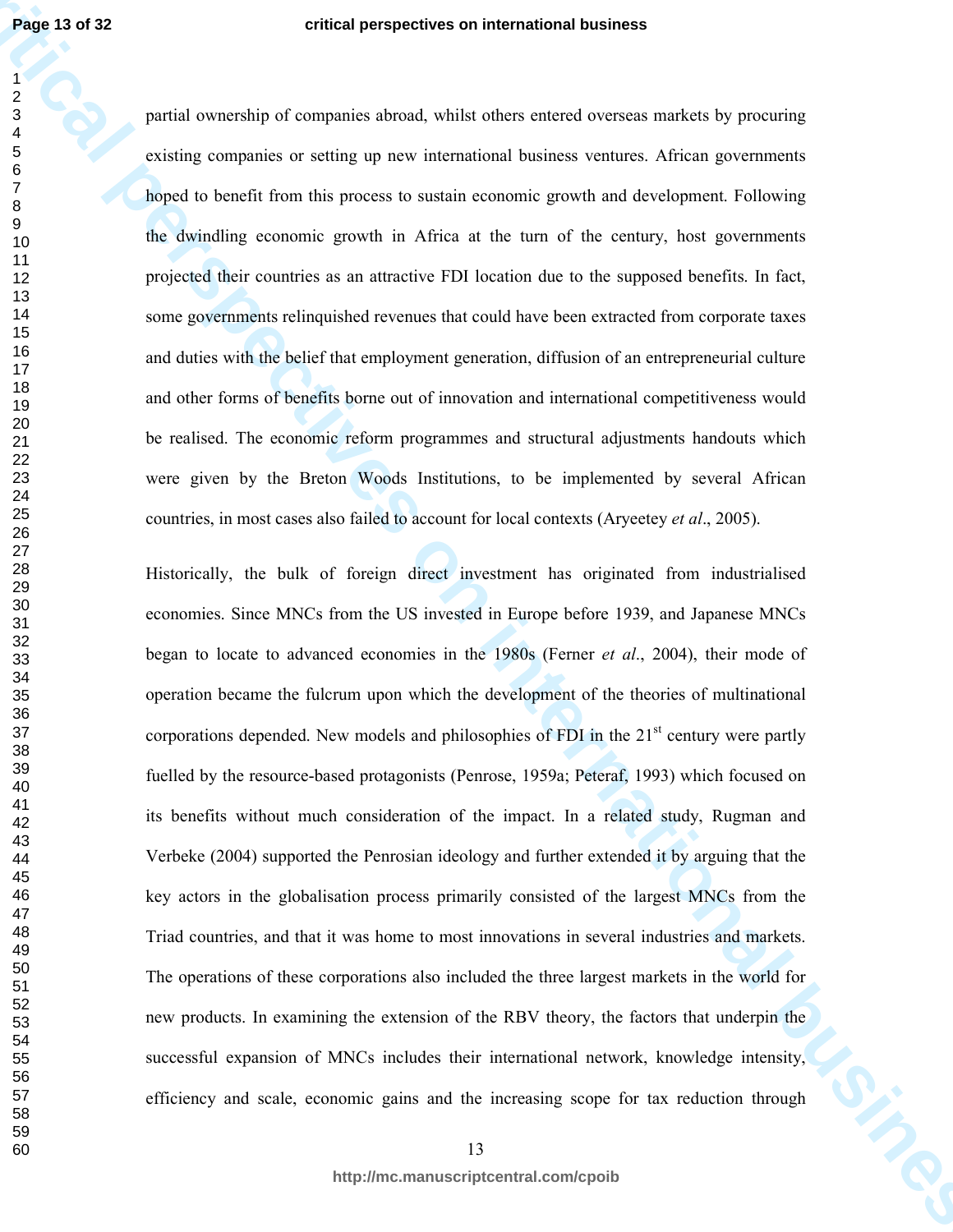partial ownership of companies abroad, whilst others entered overseas markets by procuring existing companies or setting up new international business ventures. African governments hoped to benefit from this process to sustain economic growth and development. Following the dwindling economic growth in Africa at the turn of the century, host governments projected their countries as an attractive FDI location due to the supposed benefits. In fact, some governments relinquished revenues that could have been extracted from corporate taxes and duties with the belief that employment generation, diffusion of an entrepreneurial culture and other forms of benefits borne out of innovation and international competitiveness would be realised. The economic reform programmes and structural adjustments handouts which were given by the Breton Woods Institutions, to be implemented by several African countries, in most cases also failed to account for local contexts (Aryeetey *et al*., 2005).

**critical perspectives on international business** Historically, the bulk of foreign direct investment has originated from industrialised economies. Since MNCs from the US invested in Europe before 1939, and Japanese MNCs began to locate to advanced economies in the 1980s (Ferner *et al*., 2004), their mode of operation became the fulcrum upon which the development of the theories of multinational corporations depended. New models and philosophies of FDI in the  $21<sup>st</sup>$  century were partly fuelled by the resource-based protagonists (Penrose, 1959a; Peteraf, 1993) which focused on its benefits without much consideration of the impact. In a related study, Rugman and Verbeke (2004) supported the Penrosian ideology and further extended it by arguing that the key actors in the globalisation process primarily consisted of the largest MNCs from the Triad countries, and that it was home to most innovations in several industries and markets. The operations of these corporations also included the three largest markets in the world for new products. In examining the extension of the RBV theory, the factors that underpin the successful expansion of MNCs includes their international network, knowledge intensity, efficiency and scale, economic gains and the increasing scope for tax reduction through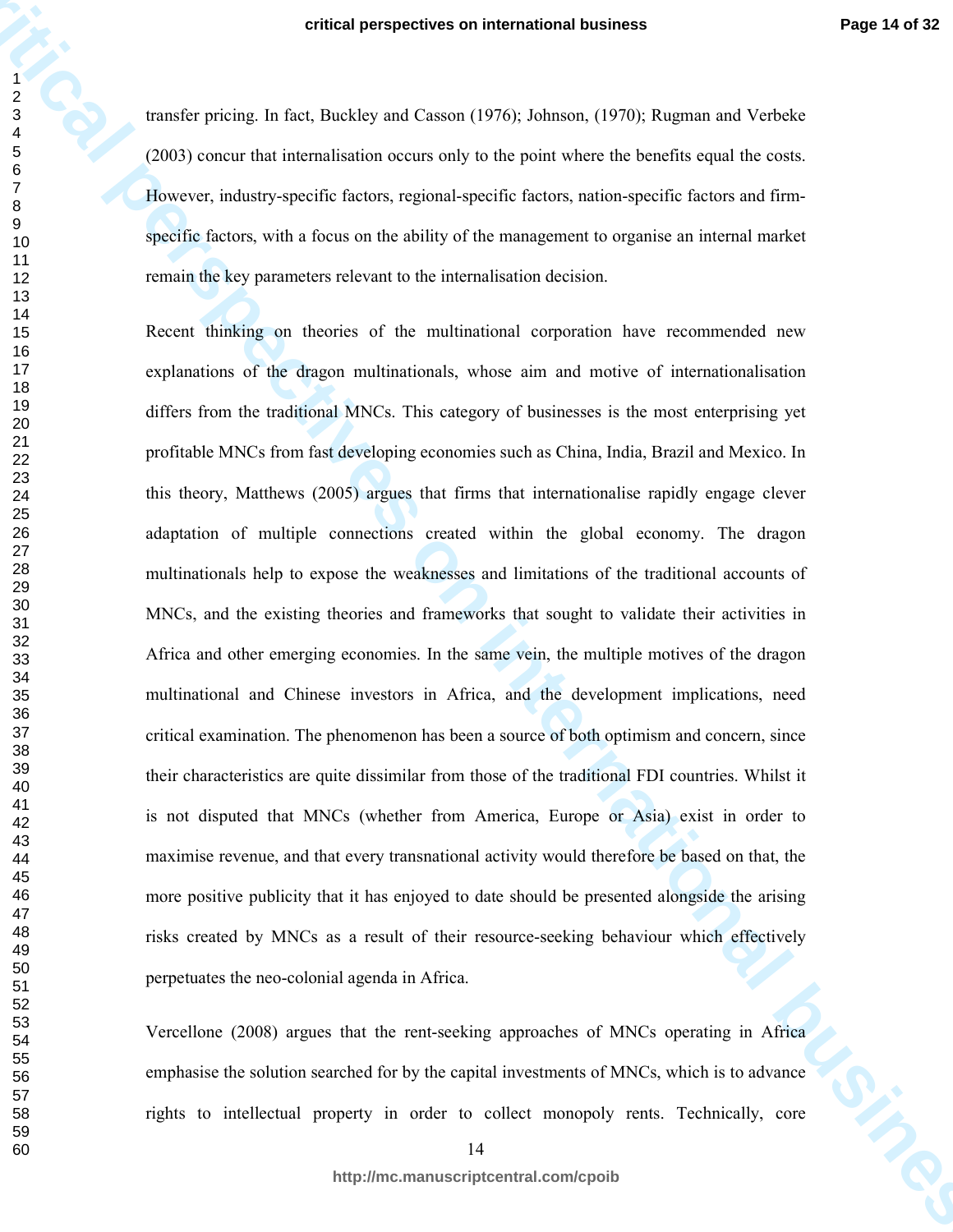transfer pricing. In fact, Buckley and Casson (1976); Johnson, (1970); Rugman and Verbeke (2003) concur that internalisation occurs only to the point where the benefits equal the costs. However, industry-specific factors, regional-specific factors, nation-specific factors and firmspecific factors, with a focus on the ability of the management to organise an internal market remain the key parameters relevant to the internalisation decision.

**critical perspectives on international business**<br> **critical** perspectives on international business, (1970), Suppose and Vehicle<br>
controls the function international business and y to the point where the handles equal the Recent thinking on theories of the multinational corporation have recommended new explanations of the dragon multinationals, whose aim and motive of internationalisation differs from the traditional MNCs. This category of businesses is the most enterprising yet profitable MNCs from fast developing economies such as China, India, Brazil and Mexico. In this theory, Matthews (2005) argues that firms that internationalise rapidly engage clever adaptation of multiple connections created within the global economy. The dragon multinationals help to expose the weaknesses and limitations of the traditional accounts of MNCs, and the existing theories and frameworks that sought to validate their activities in Africa and other emerging economies. In the same vein, the multiple motives of the dragon multinational and Chinese investors in Africa, and the development implications, need critical examination. The phenomenon has been a source of both optimism and concern, since their characteristics are quite dissimilar from those of the traditional FDI countries. Whilst it is not disputed that MNCs (whether from America, Europe or Asia) exist in order to maximise revenue, and that every transnational activity would therefore be based on that, the more positive publicity that it has enjoyed to date should be presented alongside the arising risks created by MNCs as a result of their resource-seeking behaviour which effectively perpetuates the neo-colonial agenda in Africa.

Vercellone (2008) argues that the rent-seeking approaches of MNCs operating in Africa emphasise the solution searched for by the capital investments of MNCs, which is to advance rights to intellectual property in order to collect monopoly rents. Technically, core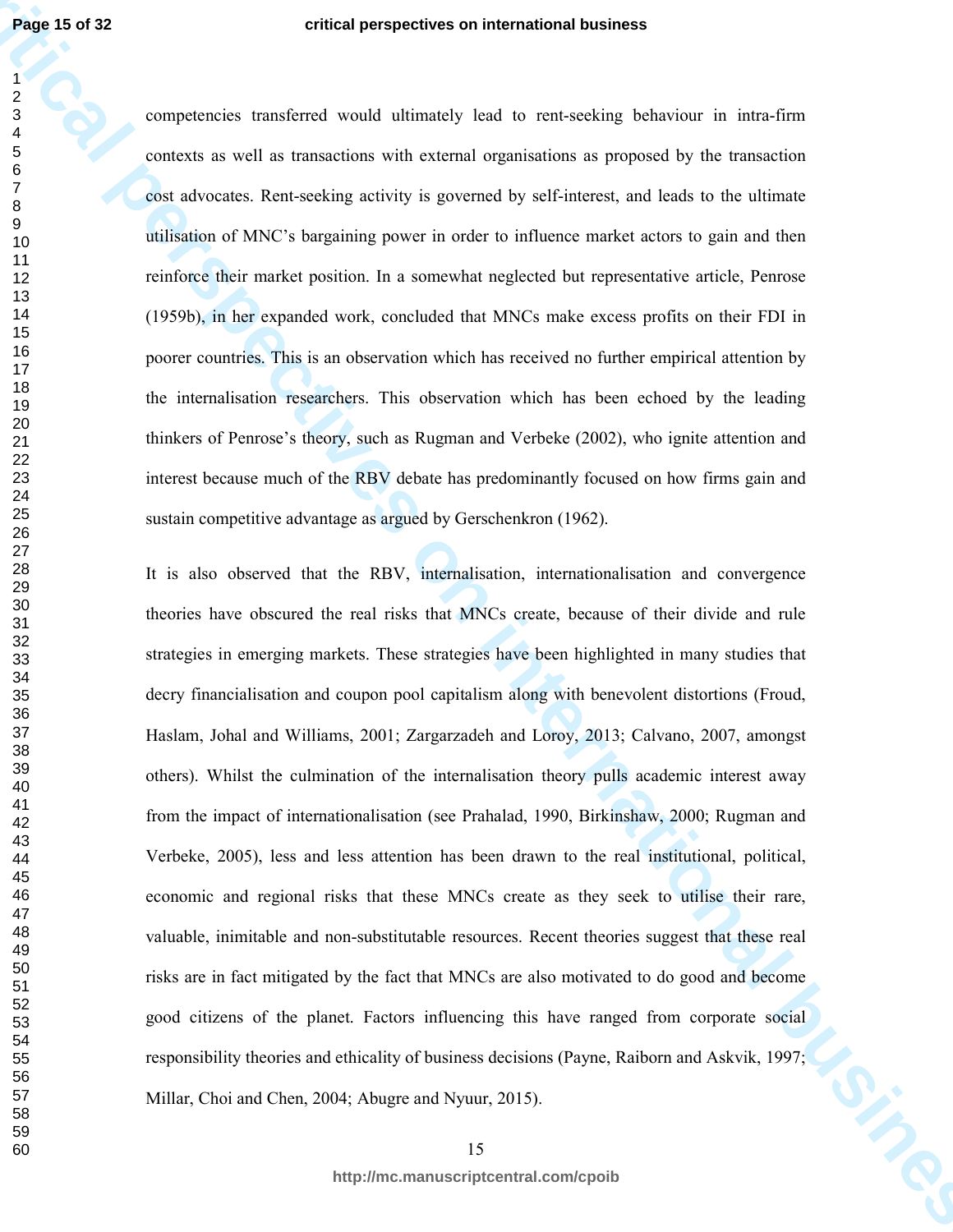competencies transferred would ultimately lead to rent-seeking behaviour in intra-firm contexts as well as transactions with external organisations as proposed by the transaction cost advocates. Rent-seeking activity is governed by self-interest, and leads to the ultimate utilisation of MNC's bargaining power in order to influence market actors to gain and then reinforce their market position. In a somewhat neglected but representative article, Penrose (1959b), in her expanded work, concluded that MNCs make excess profits on their FDI in poorer countries. This is an observation which has received no further empirical attention by the internalisation researchers. This observation which has been echoed by the leading thinkers of Penrose's theory, such as Rugman and Verbeke (2002), who ignite attention and interest because much of the RBV debate has predominantly focused on how firms gain and sustain competitive advantage as argued by Gerschenkron (1962).

**Page 15 of 32**<br>
correspondence and international business of the measurement of the state of the state of the measurement of the measurement of the measurement of the measurement of the measurement of the measurement of It is also observed that the RBV, internalisation, internationalisation and convergence theories have obscured the real risks that MNCs create, because of their divide and rule strategies in emerging markets. These strategies have been highlighted in many studies that decry financialisation and coupon pool capitalism along with benevolent distortions (Froud, Haslam, Johal and Williams, 2001; Zargarzadeh and Loroy, 2013; Calvano, 2007, amongst others). Whilst the culmination of the internalisation theory pulls academic interest away from the impact of internationalisation (see Prahalad, 1990, Birkinshaw, 2000; Rugman and Verbeke, 2005), less and less attention has been drawn to the real institutional, political, economic and regional risks that these MNCs create as they seek to utilise their rare, valuable, inimitable and non-substitutable resources. Recent theories suggest that these real risks are in fact mitigated by the fact that MNCs are also motivated to do good and become good citizens of the planet. Factors influencing this have ranged from corporate social responsibility theories and ethicality of business decisions (Payne, Raiborn and Askvik, 1997; Millar, Choi and Chen, 2004; Abugre and Nyuur, 2015).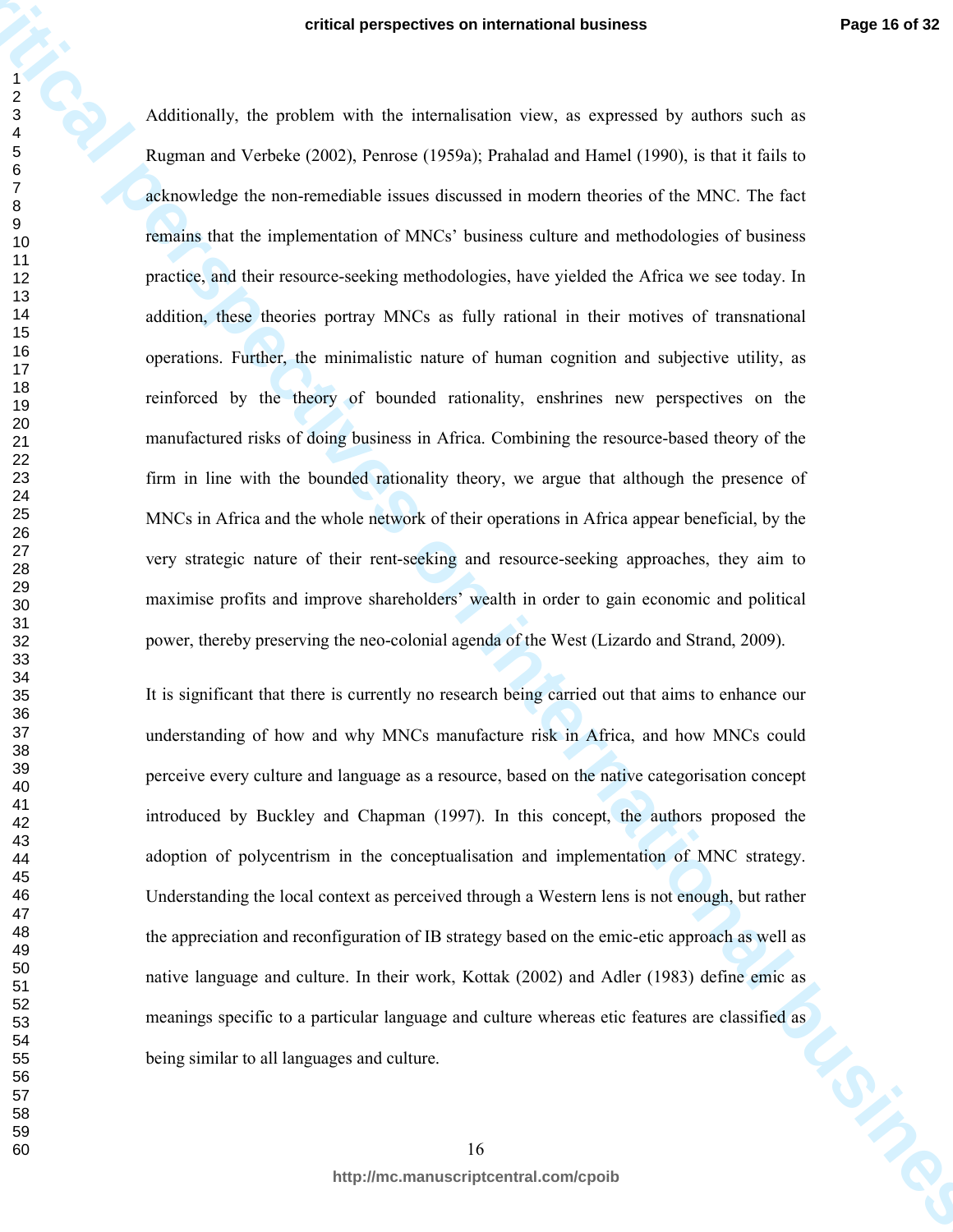**critical perspectives on international business** Additionally, the problem with the internalisation view, as expressed by authors such as Rugman and Verbeke (2002), Penrose (1959a); Prahalad and Hamel (1990), is that it fails to acknowledge the non-remediable issues discussed in modern theories of the MNC. The fact remains that the implementation of MNCs' business culture and methodologies of business practice, and their resource-seeking methodologies, have yielded the Africa we see today. In addition, these theories portray MNCs as fully rational in their motives of transnational operations. Further, the minimalistic nature of human cognition and subjective utility, as reinforced by the theory of bounded rationality, enshrines new perspectives on the manufactured risks of doing business in Africa. Combining the resource-based theory of the firm in line with the bounded rationality theory, we argue that although the presence of MNCs in Africa and the whole network of their operations in Africa appear beneficial, by the very strategic nature of their rent-seeking and resource-seeking approaches, they aim to maximise profits and improve shareholders' wealth in order to gain economic and political power, thereby preserving the neo-colonial agenda of the West (Lizardo and Strand, 2009).

It is significant that there is currently no research being carried out that aims to enhance our understanding of how and why MNCs manufacture risk in Africa, and how MNCs could perceive every culture and language as a resource, based on the native categorisation concept introduced by Buckley and Chapman (1997). In this concept, the authors proposed the adoption of polycentrism in the conceptualisation and implementation of MNC strategy. Understanding the local context as perceived through a Western lens is not enough, but rather the appreciation and reconfiguration of IB strategy based on the emic-etic approach as well as native language and culture. In their work, Kottak (2002) and Adler (1983) define emic as meanings specific to a particular language and culture whereas etic features are classified as<br>being similar to all languages and culture. being similar to all languages and culture.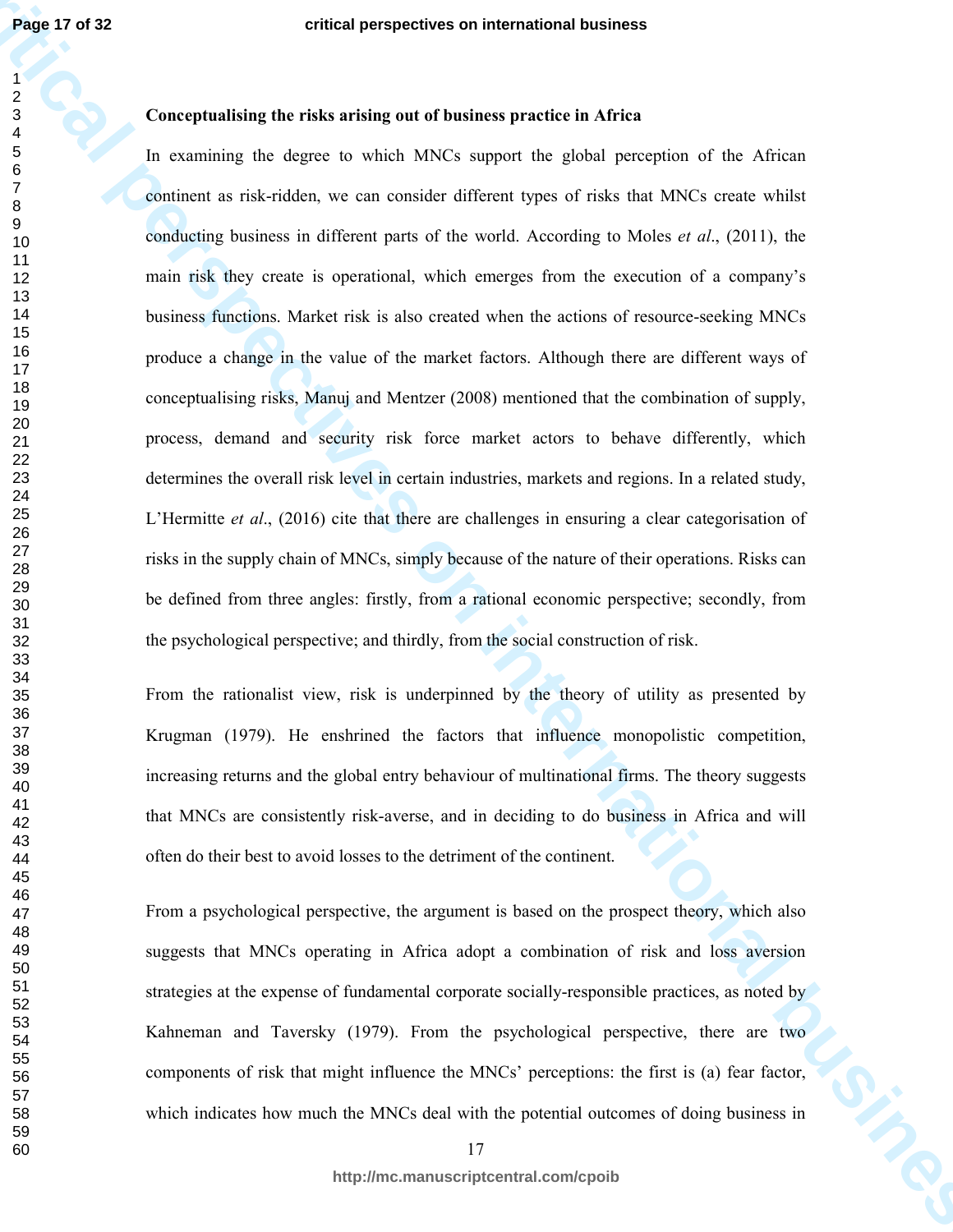#### 

# **Conceptualising the risks arising out of business practice in Africa**

**Page 17 of 32**<br> **c** conceptualiting the chies arising out of business business and the series of the series of the series are the series and the series of the series of the series of the series of the series of the serie In examining the degree to which MNCs support the global perception of the African continent as risk-ridden, we can consider different types of risks that MNCs create whilst conducting business in different parts of the world. According to Moles *et al*., (2011), the main risk they create is operational, which emerges from the execution of a company's business functions. Market risk is also created when the actions of resource-seeking MNCs produce a change in the value of the market factors. Although there are different ways of conceptualising risks, Manuj and Mentzer (2008) mentioned that the combination of supply, process, demand and security risk force market actors to behave differently, which determines the overall risk level in certain industries, markets and regions. In a related study, L'Hermitte *et al*., (2016) cite that there are challenges in ensuring a clear categorisation of risks in the supply chain of MNCs, simply because of the nature of their operations. Risks can be defined from three angles: firstly, from a rational economic perspective; secondly, from the psychological perspective; and thirdly, from the social construction of risk.

From the rationalist view, risk is underpinned by the theory of utility as presented by Krugman (1979). He enshrined the factors that influence monopolistic competition, increasing returns and the global entry behaviour of multinational firms. The theory suggests that MNCs are consistently risk-averse, and in deciding to do business in Africa and will often do their best to avoid losses to the detriment of the continent.

From a psychological perspective, the argument is based on the prospect theory, which also suggests that MNCs operating in Africa adopt a combination of risk and loss aversion strategies at the expense of fundamental corporate socially-responsible practices, as noted by Kahneman and Taversky (1979). From the psychological perspective, there are two components of risk that might influence the MNCs' perceptions: the first is (a) fear factor, which indicates how much the MNCs deal with the potential outcomes of doing business in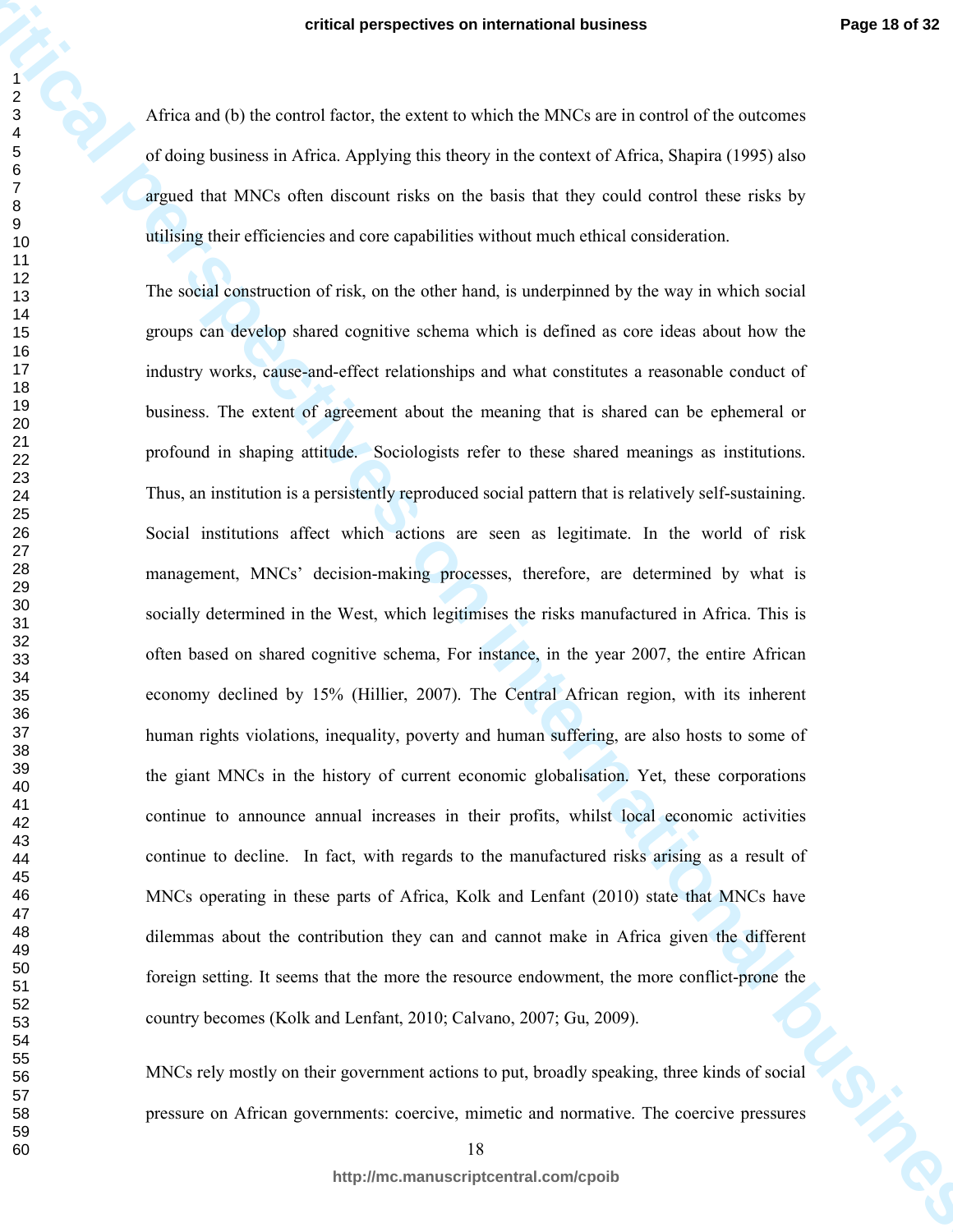Africa and (b) the control factor, the extent to which the MNCs are in control of the outcomes of doing business in Africa. Applying this theory in the context of Africa, Shapira (1995) also argued that MNCs often discount risks on the basis that they could control these risks by utilising their efficiencies and core capabilities without much ethical consideration.

**critical perspectives on international business**<br> **critical perspectives on Africa, exploring the following control of the critical perspectives of oriental business of Africa. Business (1985 also<br>
proposed for internatio** The social construction of risk, on the other hand, is underpinned by the way in which social groups can develop shared cognitive schema which is defined as core ideas about how the industry works, cause-and-effect relationships and what constitutes a reasonable conduct of business. The extent of agreement about the meaning that is shared can be ephemeral or profound in shaping attitude. Sociologists refer to these shared meanings as institutions. Thus, an institution is a persistently reproduced social pattern that is relatively self-sustaining. Social institutions affect which actions are seen as legitimate. In the world of risk management, MNCs' decision-making processes, therefore, are determined by what is socially determined in the West, which legitimises the risks manufactured in Africa. This is often based on shared cognitive schema, For instance, in the year 2007, the entire African economy declined by 15% (Hillier, 2007). The Central African region, with its inherent human rights violations, inequality, poverty and human suffering, are also hosts to some of the giant MNCs in the history of current economic globalisation. Yet, these corporations continue to announce annual increases in their profits, whilst local economic activities continue to decline. In fact, with regards to the manufactured risks arising as a result of MNCs operating in these parts of Africa, Kolk and Lenfant (2010) state that MNCs have dilemmas about the contribution they can and cannot make in Africa given the different foreign setting. It seems that the more the resource endowment, the more conflict-prone the country becomes (Kolk and Lenfant, 2010; Calvano, 2007; Gu, 2009).

MNCs rely mostly on their government actions to put, broadly speaking, three kinds of social pressure on African governments: coercive, mimetic and normative. The coercive pressures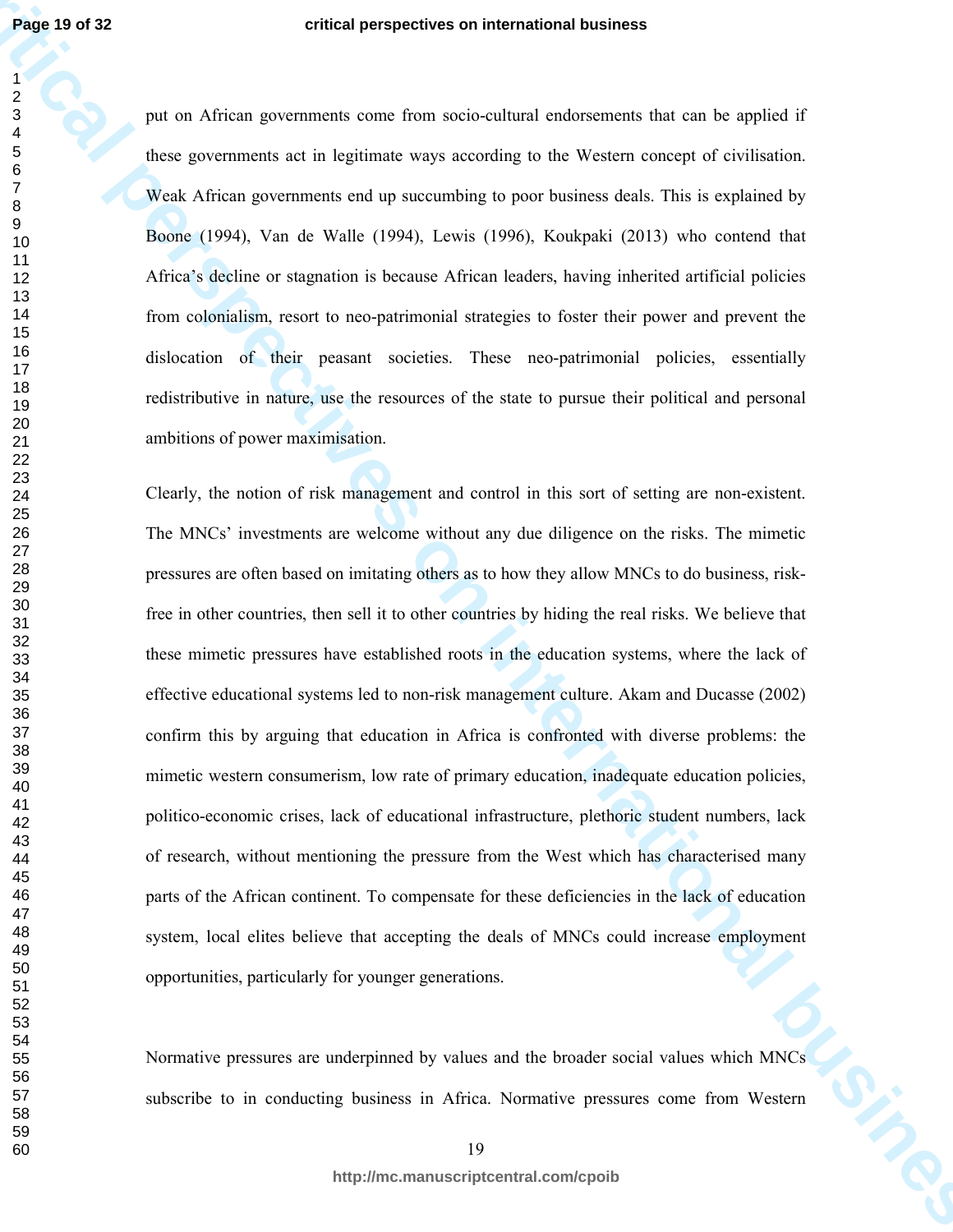put on African governments come from socio-cultural endorsements that can be applied if these governments act in legitimate ways according to the Western concept of civilisation. Weak African governments end up succumbing to poor business deals. This is explained by Boone (1994), Van de Walle (1994), Lewis (1996), Koukpaki (2013) who contend that Africa's decline or stagnation is because African leaders, having inherited artificial policies from colonialism, resort to neo-patrimonial strategies to foster their power and prevent the dislocation of their peasant societies. These neo-patrimonial policies, essentially redistributive in nature, use the resources of the state to pursue their political and personal ambitions of power maximisation.

**critical perspectives on international business** Clearly, the notion of risk management and control in this sort of setting are non-existent. The MNCs' investments are welcome without any due diligence on the risks. The mimetic pressures are often based on imitating others as to how they allow MNCs to do business, riskfree in other countries, then sell it to other countries by hiding the real risks. We believe that these mimetic pressures have established roots in the education systems, where the lack of effective educational systems led to non-risk management culture. Akam and Ducasse (2002) confirm this by arguing that education in Africa is confronted with diverse problems: the mimetic western consumerism, low rate of primary education, inadequate education policies, politico-economic crises, lack of educational infrastructure, plethoric student numbers, lack of research, without mentioning the pressure from the West which has characterised many parts of the African continent. To compensate for these deficiencies in the lack of education system, local elites believe that accepting the deals of MNCs could increase employment opportunities, particularly for younger generations.

Normative pressures are underpinned by values and the broader social values which MNCs subscribe to in conducting business in Africa. Normative pressures come from Western

**http://mc.manuscriptcentral.com/cpoib**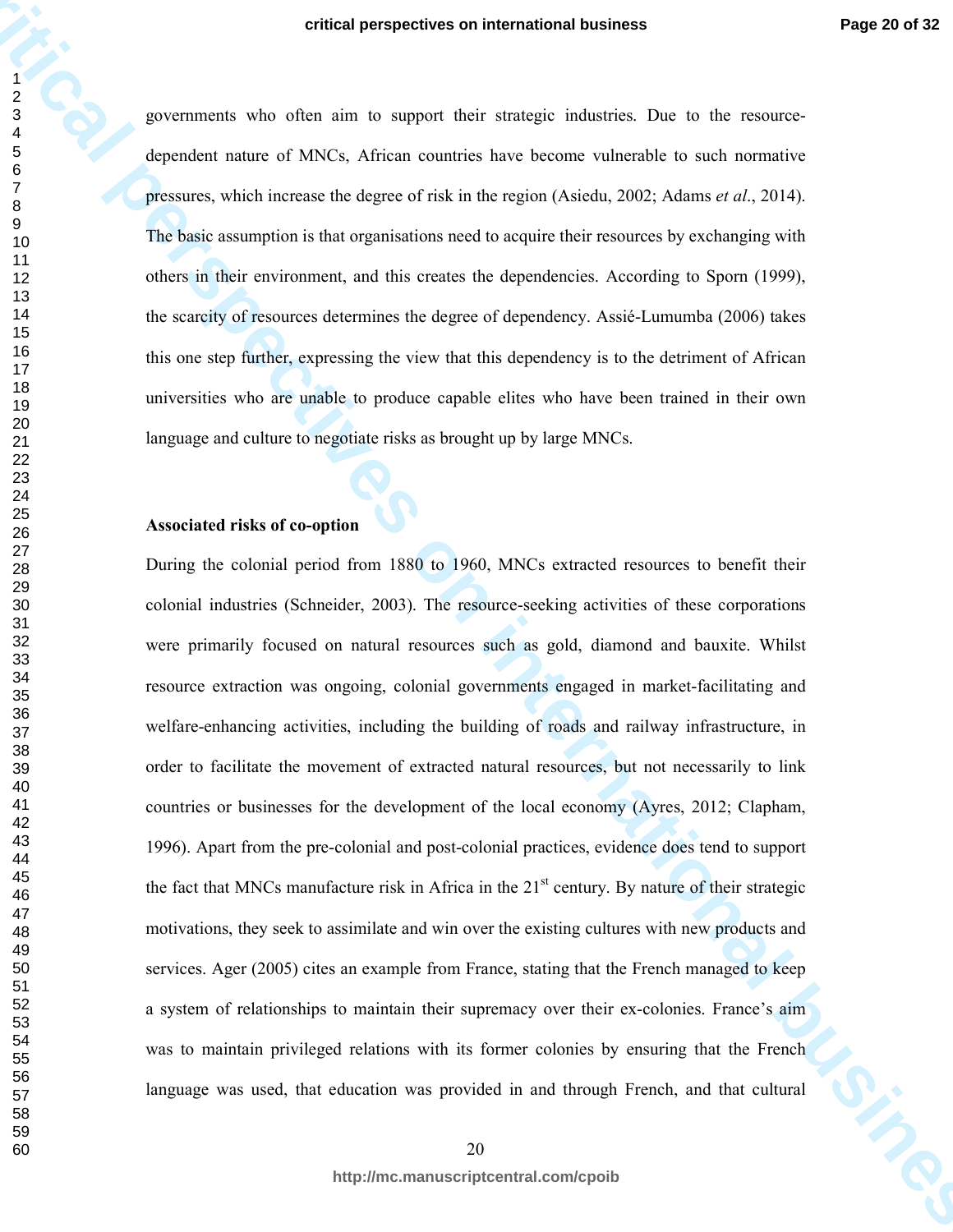governments who often aim to support their strategic industries. Due to the resourcedependent nature of MNCs, African countries have become vulnerable to such normative pressures, which increase the degree of risk in the region (Asiedu, 2002; Adams *et al*., 2014). The basic assumption is that organisations need to acquire their resources by exchanging with others in their environment, and this creates the dependencies. According to Sporn (1999), the scarcity of resources determines the degree of dependency. Assié-Lumumba (2006) takes this one step further, expressing the view that this dependency is to the detriment of African universities who are unable to produce capable elites who have been trained in their own language and culture to negotiate risks as brought up by large MNCs.

# **Associated risks of co-option**

**critical perspectives on international business**<br> **critical perspectives on the most of the most of the most of the most of the most of the most of the most of the most of the most of the most of the most of the most of t** During the colonial period from 1880 to 1960, MNCs extracted resources to benefit their colonial industries (Schneider, 2003). The resource-seeking activities of these corporations were primarily focused on natural resources such as gold, diamond and bauxite. Whilst resource extraction was ongoing, colonial governments engaged in market-facilitating and welfare-enhancing activities, including the building of roads and railway infrastructure, in order to facilitate the movement of extracted natural resources, but not necessarily to link countries or businesses for the development of the local economy (Ayres, 2012; Clapham, 1996). Apart from the pre-colonial and post-colonial practices, evidence does tend to support the fact that MNCs manufacture risk in Africa in the  $21<sup>st</sup>$  century. By nature of their strategic motivations, they seek to assimilate and win over the existing cultures with new products and services. Ager (2005) cites an example from France, stating that the French managed to keep a system of relationships to maintain their supremacy over their ex-colonies. France's aim was to maintain privileged relations with its former colonies by ensuring that the French language was used, that education was provided in and through French, and that cultural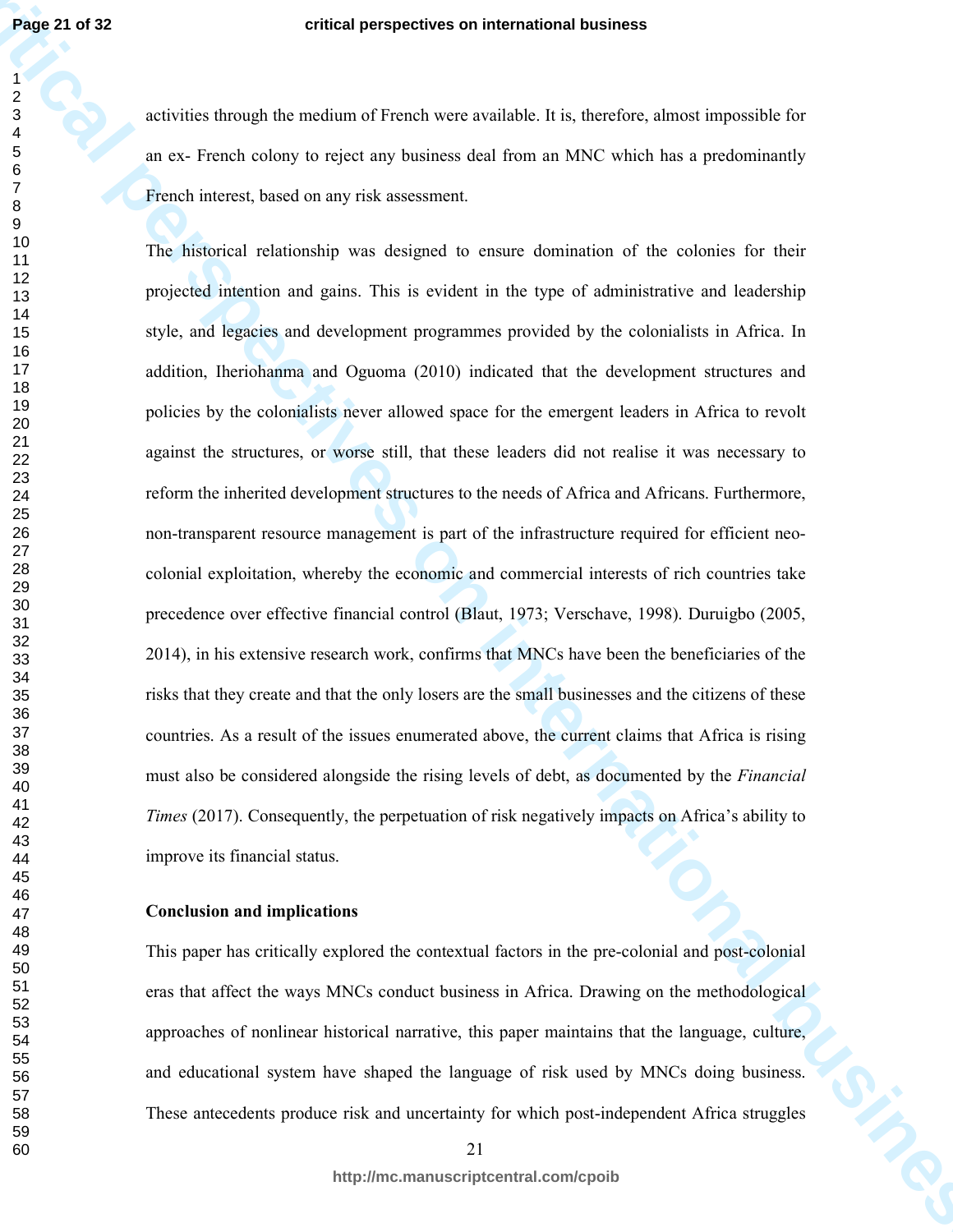activities through the medium of French were available. It is, therefore, almost impossible for an ex- French colony to reject any business deal from an MNC which has a predominantly French interest, based on any risk assessment.

**critical perspectives on international business** The historical relationship was designed to ensure domination of the colonies for their projected intention and gains. This is evident in the type of administrative and leadership style, and legacies and development programmes provided by the colonialists in Africa. In addition, Iheriohanma and Oguoma (2010) indicated that the development structures and policies by the colonialists never allowed space for the emergent leaders in Africa to revolt against the structures, or worse still, that these leaders did not realise it was necessary to reform the inherited development structures to the needs of Africa and Africans. Furthermore, non-transparent resource management is part of the infrastructure required for efficient neocolonial exploitation, whereby the economic and commercial interests of rich countries take precedence over effective financial control (Blaut, 1973; Verschave, 1998). Duruigbo (2005, 2014), in his extensive research work, confirms that MNCs have been the beneficiaries of the risks that they create and that the only losers are the small businesses and the citizens of these countries. As a result of the issues enumerated above, the current claims that Africa is rising must also be considered alongside the rising levels of debt, as documented by the *Financial Times* (2017). Consequently, the perpetuation of risk negatively impacts on Africa's ability to improve its financial status.

#### **Conclusion and implications**

This paper has critically explored the contextual factors in the pre-colonial and post-colonial eras that affect the ways MNCs conduct business in Africa. Drawing on the methodological approaches of nonlinear historical narrative, this paper maintains that the language, culture, and educational system have shaped the language of risk used by MNCs doing business. These antecedents produce risk and uncertainty for which post-independent Africa struggles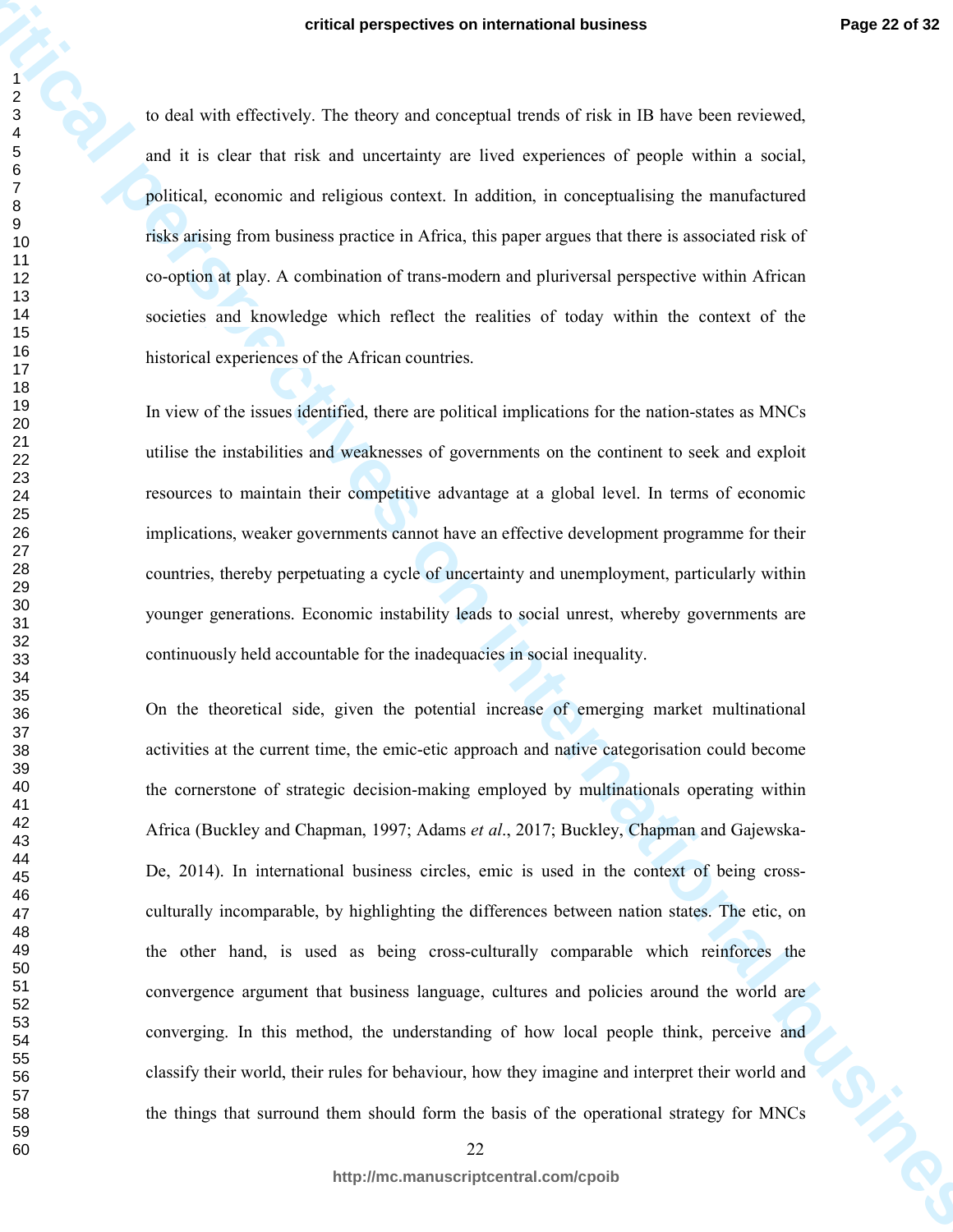to deal with effectively. The theory and conceptual trends of risk in IB have been reviewed, and it is clear that risk and uncertainty are lived experiences of people within a social, political, economic and religious context. In addition, in conceptualising the manufactured risks arising from business practice in Africa, this paper argues that there is associated risk of co-option at play. A combination of trans-modern and pluriversal perspective within African societies and knowledge which reflect the realities of today within the context of the historical experiences of the African countries.

In view of the issues identified, there are political implications for the nation-states as MNCs utilise the instabilities and weaknesses of governments on the continent to seek and exploit resources to maintain their competitive advantage at a global level. In terms of economic implications, weaker governments cannot have an effective development programme for their countries, thereby perpetuating a cycle of uncertainty and unemployment, particularly within younger generations. Economic instability leads to social unrest, whereby governments are continuously held accountable for the inadequacies in social inequality.

**critical perspectives on international business**<br> **critical** perspectives the three persistent of respectively. The controller of the state in the state of the state in the state of the state of perspectives of the state On the theoretical side, given the potential increase of emerging market multinational activities at the current time, the emic-etic approach and native categorisation could become the cornerstone of strategic decision-making employed by multinationals operating within Africa (Buckley and Chapman, 1997; Adams *et al*., 2017; Buckley, Chapman and Gajewska-De, 2014). In international business circles, emic is used in the context of being crossculturally incomparable, by highlighting the differences between nation states. The etic, on the other hand, is used as being cross-culturally comparable which reinforces the convergence argument that business language, cultures and policies around the world are converging. In this method, the understanding of how local people think, perceive and classify their world, their rules for behaviour, how they imagine and interpret their world and the things that surround them should form the basis of the operational strategy for MNCs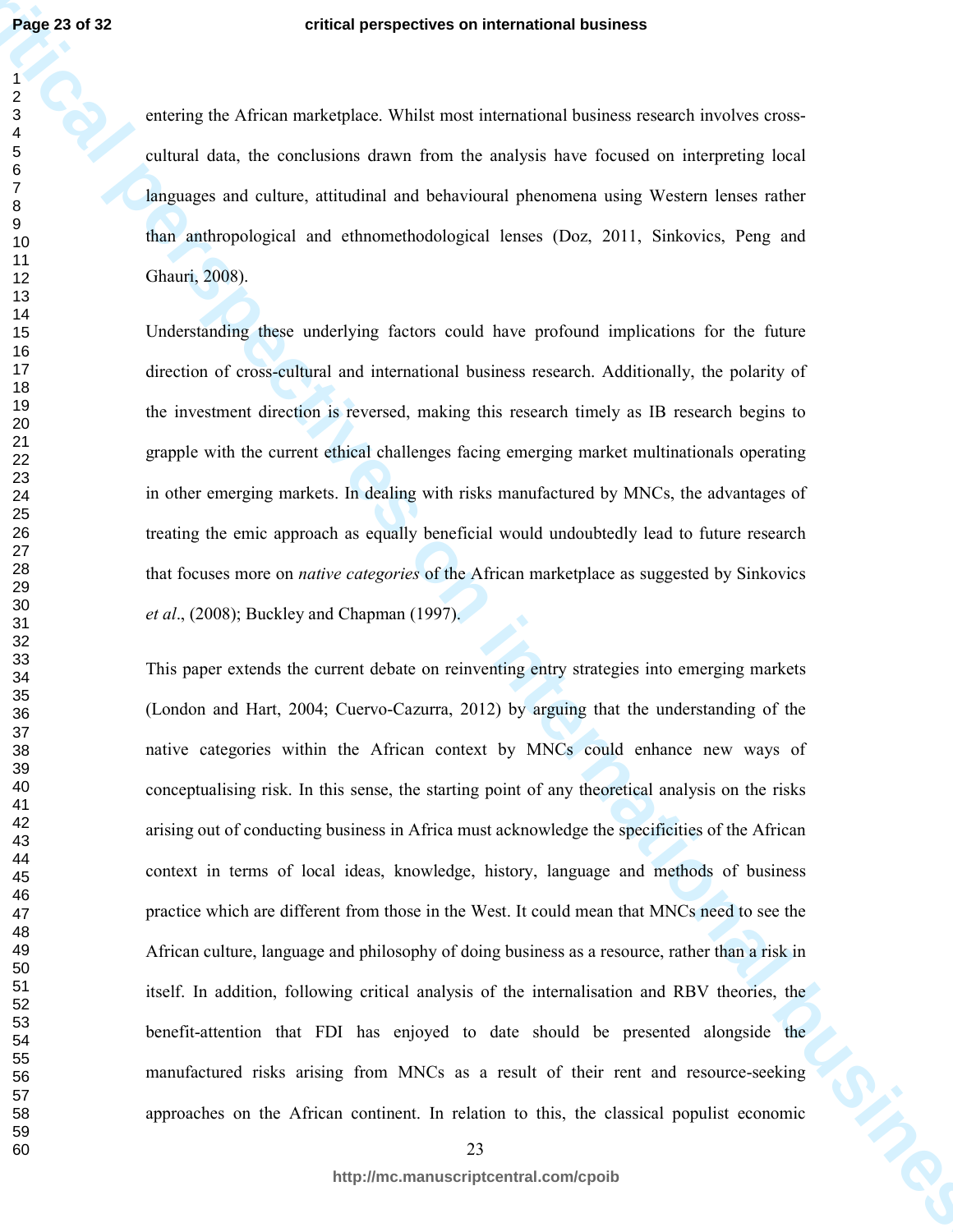entering the African marketplace. Whilst most international business research involves crosscultural data, the conclusions drawn from the analysis have focused on interpreting local languages and culture, attitudinal and behavioural phenomena using Western lenses rather than anthropological and ethnomethodological lenses (Doz, 2011, Sinkovics, Peng and Ghauri, 2008).

Understanding these underlying factors could have profound implications for the future direction of cross-cultural and international business research. Additionally, the polarity of the investment direction is reversed, making this research timely as IB research begins to grapple with the current ethical challenges facing emerging market multinationals operating in other emerging markets. In dealing with risks manufactured by MNCs, the advantages of treating the emic approach as equally beneficial would undoubtedly lead to future research that focuses more on *native categories* of the African marketplace as suggested by Sinkovics *et al*., (2008); Buckley and Chapman (1997).

**critical perspectives on international business** This paper extends the current debate on reinventing entry strategies into emerging markets (London and Hart, 2004; Cuervo-Cazurra, 2012) by arguing that the understanding of the native categories within the African context by MNCs could enhance new ways of conceptualising risk. In this sense, the starting point of any theoretical analysis on the risks arising out of conducting business in Africa must acknowledge the specificities of the African context in terms of local ideas, knowledge, history, language and methods of business practice which are different from those in the West. It could mean that MNCs need to see the African culture, language and philosophy of doing business as a resource, rather than a risk in itself. In addition, following critical analysis of the internalisation and RBV theories, the benefit-attention that FDI has enjoyed to date should be presented alongside the manufactured risks arising from MNCs as a result of their rent and resource-seeking approaches on the African continent. In relation to this, the classical populist economic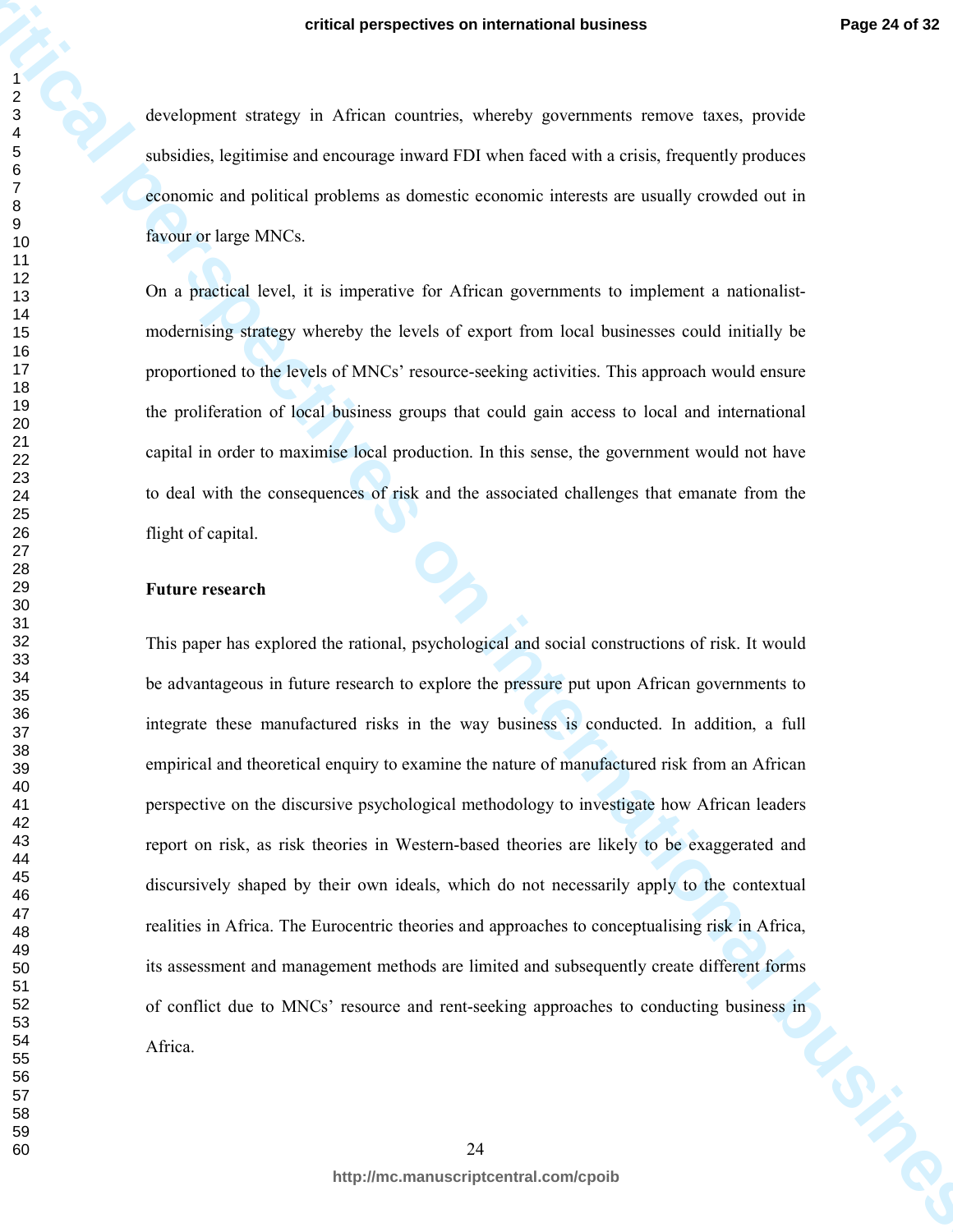development strategy in African countries, whereby governments remove taxes, provide subsidies, legitimise and encourage inward FDI when faced with a crisis, frequently produces economic and political problems as domestic economic interests are usually crowded out in favour or large MNCs.

On a practical level, it is imperative for African governments to implement a nationalistmodernising strategy whereby the levels of export from local businesses could initially be proportioned to the levels of MNCs' resource-seeking activities. This approach would ensure the proliferation of local business groups that could gain access to local and international capital in order to maximise local production. In this sense, the government would not have to deal with the consequences of risk and the associated challenges that emanate from the flight of capital.

#### **Future research**

**critical perspectives on international business**<br> **critical perspectives on the African connecte, when the critical perspective probable perspective considers**<br> **connects are perspectively above as consistent with a criti** This paper has explored the rational, psychological and social constructions of risk. It would be advantageous in future research to explore the pressure put upon African governments to integrate these manufactured risks in the way business is conducted. In addition, a full empirical and theoretical enquiry to examine the nature of manufactured risk from an African perspective on the discursive psychological methodology to investigate how African leaders report on risk, as risk theories in Western-based theories are likely to be exaggerated and discursively shaped by their own ideals, which do not necessarily apply to the contextual realities in Africa. The Eurocentric theories and approaches to conceptualising risk in Africa, its assessment and management methods are limited and subsequently create different forms of conflict due to MNCs' resource and rent-seeking approaches to conducting business in<br>Africa. Africa.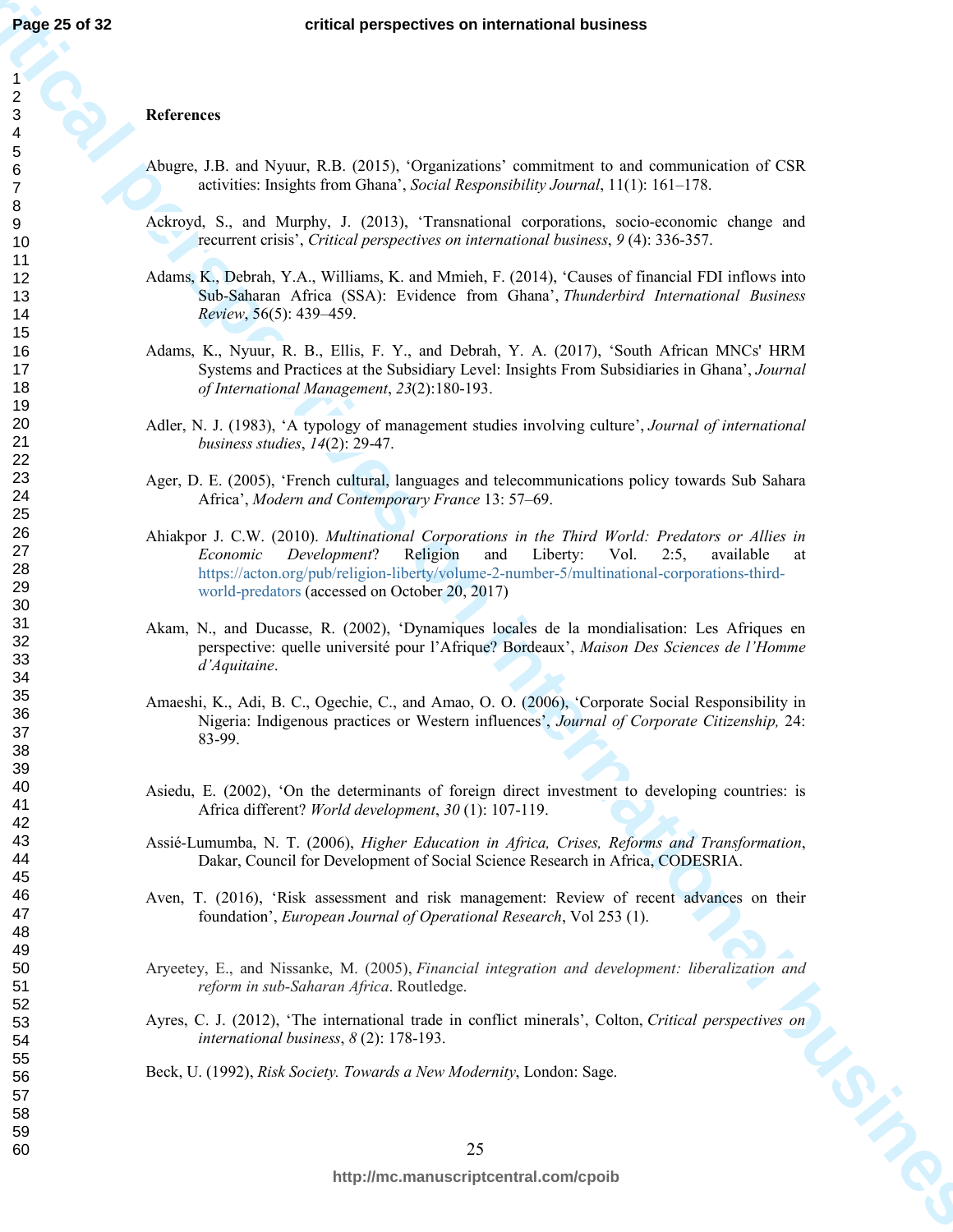#### **References**

- Abugre, J.B. and Nyuur, R.B. (2015), 'Organizations' commitment to and communication of CSR activities: Insights from Ghana', *Social Responsibility Journal*, 11(1): 161–178.
- Ackroyd, S., and Murphy, J. (2013), 'Transnational corporations, socio-economic change and recurrent crisis', *Critical perspectives on international business*, *9* (4): 336-357.
- Adams, K., Debrah, Y.A., Williams, K. and Mmieh, F. (2014), 'Causes of financial FDI inflows into Sub-Saharan Africa (SSA): Evidence from Ghana', *Thunderbird International Business Review*, 56(5): 439–459.
- Adams, K., Nyuur, R. B., Ellis, F. Y., and Debrah, Y. A. (2017), 'South African MNCs' HRM Systems and Practices at the Subsidiary Level: Insights From Subsidiaries in Ghana', *Journal of International Management*, *23*(2):180-193.
- Adler, N. J. (1983), 'A typology of management studies involving culture', *Journal of international business studies*, *14*(2): 29-47.
- Ager, D. E. (2005), 'French cultural, languages and telecommunications policy towards Sub Sahara Africa', *Modern and Contemporary France* 13: 57–69.
- **critical perspectives on international business** Ahiakpor J. C.W. (2010). *Multinational Corporations in the Third World: Predators or Allies in Economic Development*? Religion and Liberty: Vol. 2:5, available at https://acton.org/pub/religion-liberty/volume-2-number-5/multinational-corporations-thirdworld-predators (accessed on October 20, 2017)
	- Akam, N., and Ducasse, R. (2002), 'Dynamiques locales de la mondialisation: Les Afriques en perspective: quelle université pour l'Afrique? Bordeaux', *Maison Des Sciences de l'Homme d'Aquitaine*.
	- Amaeshi, K., Adi, B. C., Ogechie, C., and Amao, O. O. (2006), 'Corporate Social Responsibility in Nigeria: Indigenous practices or Western influences', *Journal of Corporate Citizenship,* 24: 83-99.
	- Asiedu, E. (2002), 'On the determinants of foreign direct investment to developing countries: is Africa different? *World development*, *30* (1): 107-119.
	- Assié-Lumumba, N. T. (2006), *Higher Education in Africa, Crises, Reforms and Transformation*, Dakar, Council for Development of Social Science Research in Africa, CODESRIA.
	- Aven, T. (2016), 'Risk assessment and risk management: Review of recent advances on their foundation', *European Journal of Operational Research*, Vol 253 (1).
	- Aryeetey, E., and Nissanke, M. (2005), *Financial integration and development: liberalization and reform in sub-Saharan Africa*. Routledge.
	- Ayres, C. J. (2012), 'The international trade in conflict minerals', Colton, *Critical perspectives on international business*, *8* (2): 178-193.<br>Beck, U. (1992), *Risk Society. Towards a New Modernity*, London: Sage. *international business*, *8* (2): 178-193.
	- Beck, U. (1992), *Risk Society. Towards a New Modernity*, London: Sage.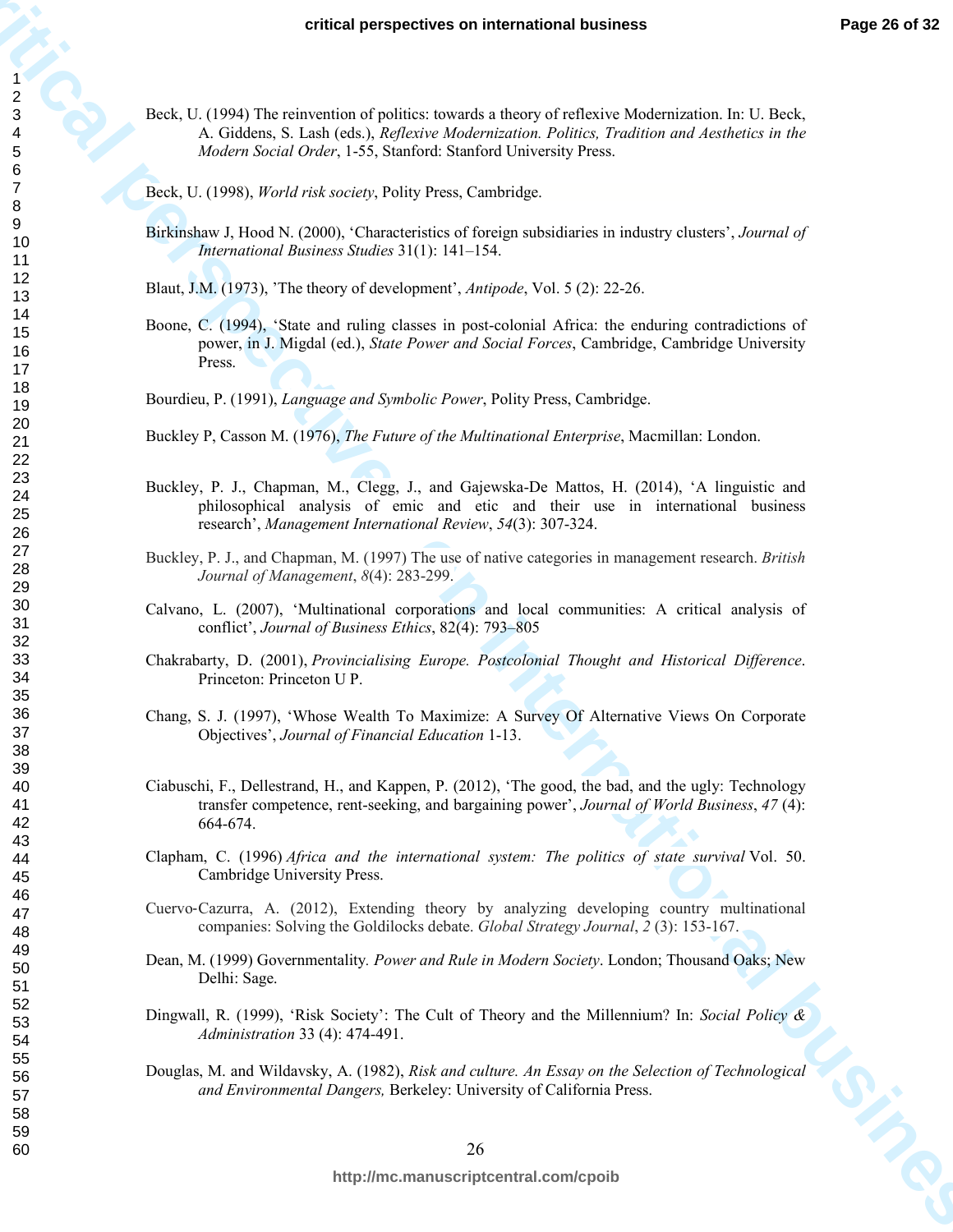- Beck, U. (1994) The reinvention of politics: towards a theory of reflexive Modernization. In: U. Beck, A. Giddens, S. Lash (eds.), *Reflexive Modernization. Politics, Tradition and Aesthetics in the Modern Social Order*, 1-55, Stanford: Stanford University Press.
- Beck, U. (1998), *World risk society*, Polity Press, Cambridge.
- Birkinshaw J, Hood N. (2000), 'Characteristics of foreign subsidiaries in industry clusters', *Journal of International Business Studies* 31(1): 141–154.
- Blaut, J.M. (1973), 'The theory of development', *Antipode*, Vol. 5 (2): 22-26.
- **critics** perspectives on international business<br> **c**<br>  $\frac{1}{2}$ <br>  $\frac{1}{2}$ <br>  $\frac{1}{2}$ <br>  $\frac{1}{2}$ <br>  $\frac{1}{2}$ <br>  $\frac{1}{2}$ <br>  $\frac{1}{2}$ <br>  $\frac{1}{2}$ <br>  $\frac{1}{2}$ <br>  $\frac{1}{2}$ <br>  $\frac{1}{2}$ <br>  $\frac{1}{2}$ <br>  $\frac{1}{2}$ <br>  $\frac{1}{2}$ <br>  $\frac{1}{2}$ <br> Boone, C. (1994), 'State and ruling classes in post-colonial Africa: the enduring contradictions of power, in J. Migdal (ed.), *State Power and Social Forces*, Cambridge, Cambridge University Press.
	- Bourdieu, P. (1991), *Language and Symbolic Power*, Polity Press, Cambridge.
	- Buckley P, Casson M. (1976), *The Future of the Multinational Enterprise*, Macmillan: London.
	- Buckley, P. J., Chapman, M., Clegg, J., and Gajewska-De Mattos, H. (2014), 'A linguistic and philosophical analysis of emic and etic and their use in international business research', *Management International Review*, *54*(3): 307-324.
	- Buckley, P. J., and Chapman, M. (1997) The use of native categories in management research. *British Journal of Management*, *8*(4): 283-299.
	- Calvano, L. (2007), 'Multinational corporations and local communities: A critical analysis of conflict', *Journal of Business Ethics*, 82(4): 793–805
	- Chakrabarty, D. (2001), *Provincialising Europe. Postcolonial Thought and Historical Difference*. Princeton: Princeton U P.
	- Chang, S. J. (1997), 'Whose Wealth To Maximize: A Survey Of Alternative Views On Corporate Objectives', *Journal of Financial Education* 1-13.
	- Ciabuschi, F., Dellestrand, H., and Kappen, P. (2012), 'The good, the bad, and the ugly: Technology transfer competence, rent-seeking, and bargaining power', *Journal of World Business*, *47* (4): 664-674.
	- Clapham, C. (1996) *Africa and the international system: The politics of state survival* Vol. 50. Cambridge University Press.
	- Cuervo‐Cazurra, A. (2012), Extending theory by analyzing developing country multinational companies: Solving the Goldilocks debate. *Global Strategy Journal*, *2* (3): 153-167.
	- Dean, M. (1999) Governmentality*. Power and Rule in Modern Society*. London; Thousand Oaks; New Delhi: Sage.
	- Dingwall, R. (1999), 'Risk Society': The Cult of Theory and the Millennium? In: *Social Policy & Administration* 33 (4): 474-491.
	- Douglas, M. and Wildavsky, A. (1982), *Risk and culture. An Essay on the Selection of Technological and Environmental Dangers,* Berkeley: University of California Press.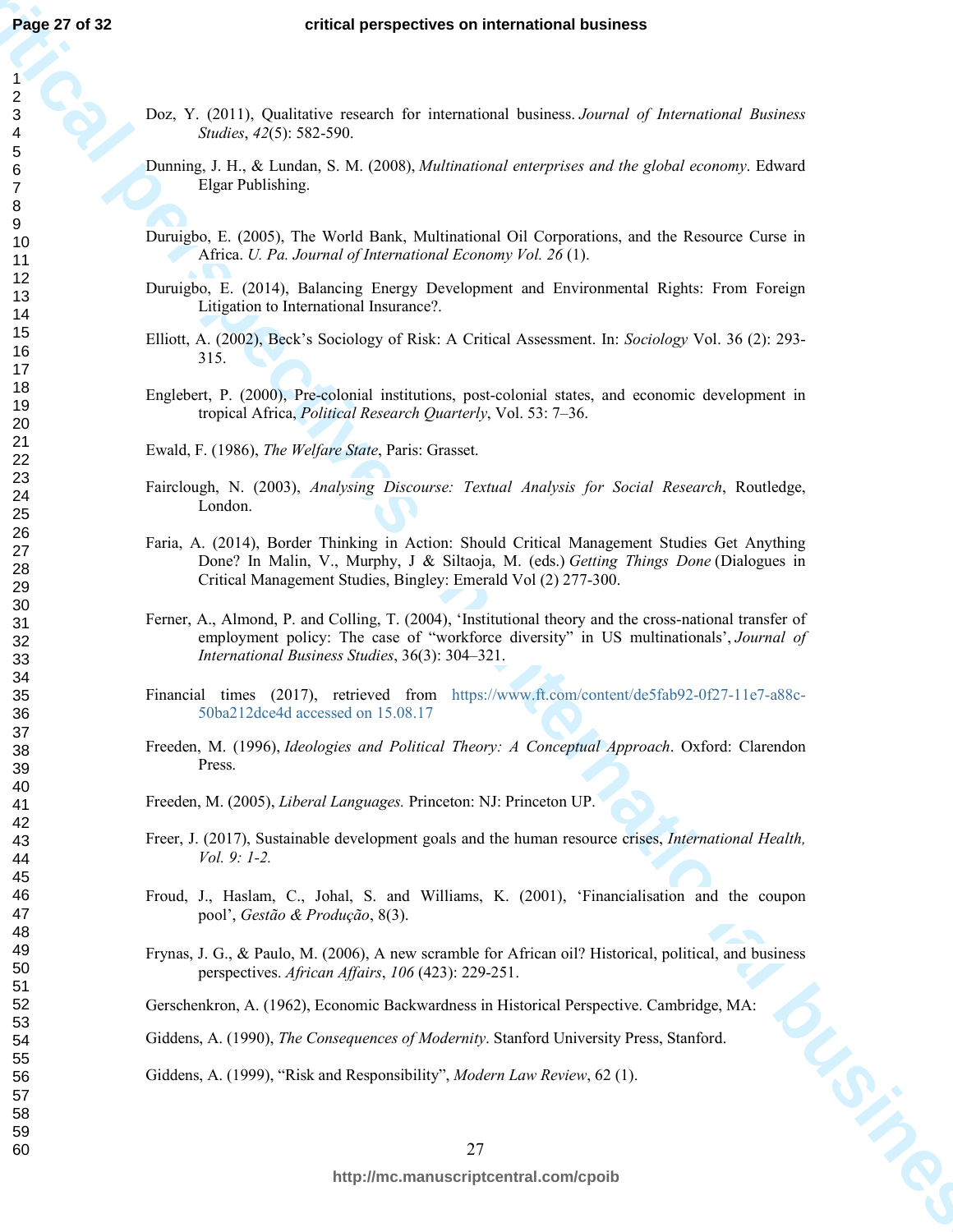- Doz, Y. (2011), Qualitative research for international business. *Journal of International Business Studies*, *42*(5): 582-590.
- Dunning, J. H., & Lundan, S. M. (2008), *Multinational enterprises and the global economy*. Edward Elgar Publishing.
- Duruigbo, E. (2005), The World Bank, Multinational Oil Corporations, and the Resource Curse in Africa. *U. Pa. Journal of International Economy Vol. 26* (1).
- Duruigbo, E. (2014), Balancing Energy Development and Environmental Rights: From Foreign Litigation to International Insurance?.
- Elliott, A. (2002), Beck's Sociology of Risk: A Critical Assessment. In: *Sociology* Vol. 36 (2): 293- 315.
- Englebert, P. (2000), Pre-colonial institutions, post-colonial states, and economic development in tropical Africa, *Political Research Quarterly*, Vol. 53: 7–36.

Ewald, F. (1986), *The Welfare State*, Paris: Grasset.

- Fairclough, N. (2003), *Analysing Discourse: Textual Analysis for Social Research*, Routledge, London.
- Faria, A. (2014), Border Thinking in Action: Should Critical Management Studies Get Anything Done? In Malin, V., Murphy, J & Siltaoja, M. (eds.) *Getting Things Done* (Dialogues in Critical Management Studies, Bingley: Emerald Vol (2) 277-300.
- **critical perspectives on international business** Ferner, A., Almond, P. and Colling, T. (2004), 'Institutional theory and the cross-national transfer of employment policy: The case of "workforce diversity" in US multinationals', *Journal of International Business Studies*, 36(3): 304–321.
	- Financial times (2017), retrieved from https://www.ft.com/content/de5fab92-0f27-11e7-a88c-50ba212dce4d accessed on 15.08.17
	- Freeden, M. (1996), *Ideologies and Political Theory: A Conceptual Approach*. Oxford: Clarendon Press.
	- Freeden, M. (2005), *Liberal Languages.* Princeton: NJ: Princeton UP.
	- Freer, J. (2017), Sustainable development goals and the human resource crises, *International Health, Vol. 9: 1-2.*
	- Froud, J., Haslam, C., Johal, S. and Williams, K. (2001), 'Financialisation and the coupon pool', *Gestão & Produção*, 8(3).
	- Frynas, J. G., & Paulo, M. (2006), A new scramble for African oil? Historical, political, and business perspectives. *African Affairs*, *106* (423): 229-251.

Gerschenkron, A. (1962), Economic Backwardness in Historical Perspective. Cambridge, MA:

Giddens, A. (1990), *The Consequences of Modernity*. Stanford University Press, Stanford.

Giddens, A. (1999), "Risk and Responsibility", *Modern Law Review*, 62 (1).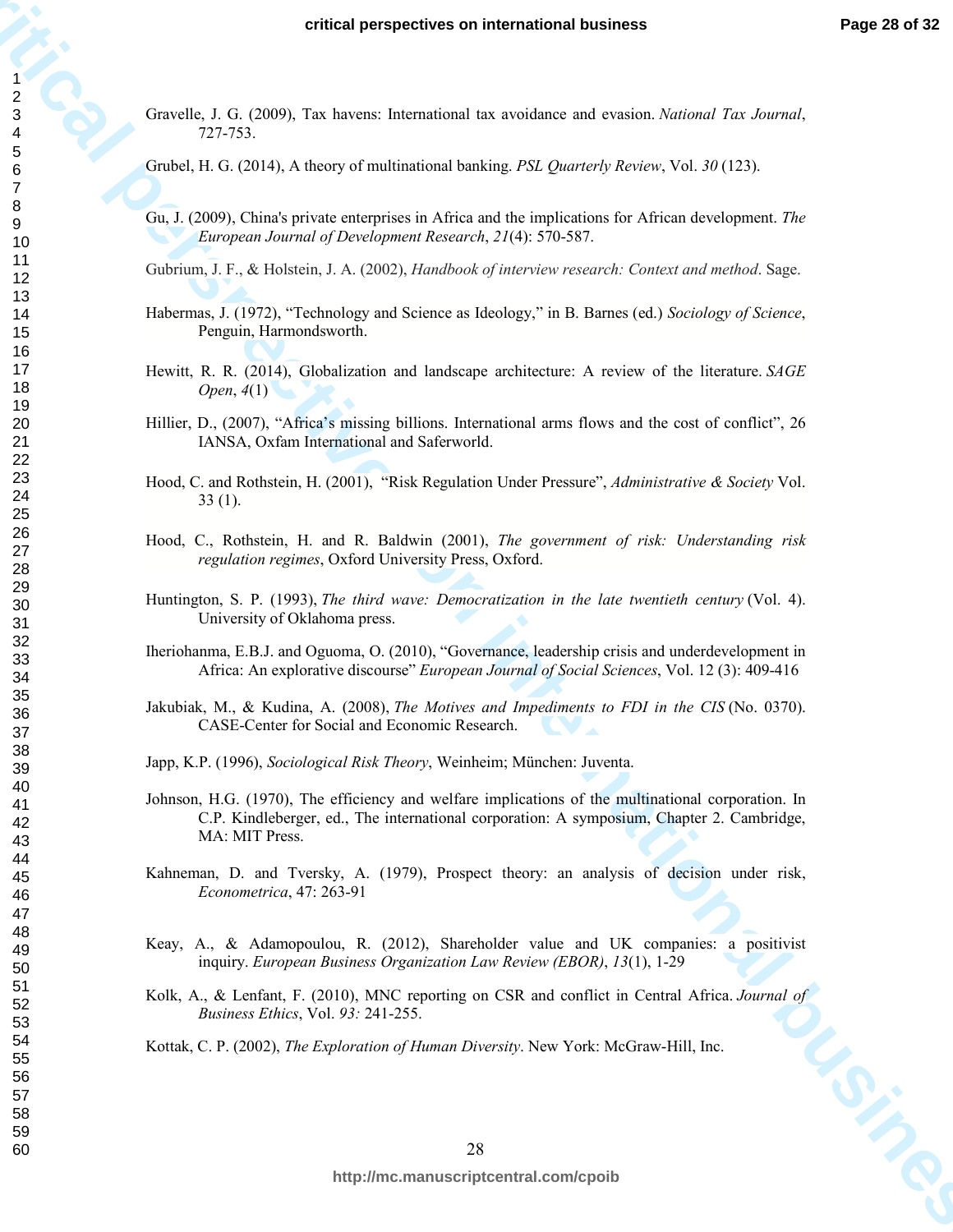Gravelle, J. G. (2009), Tax havens: International tax avoidance and evasion. *National Tax Journal*, 727-753.

Grubel, H. G. (2014), A theory of multinational banking. *PSL Quarterly Review*, Vol. *30* (123).

- Gu, J. (2009), China's private enterprises in Africa and the implications for African development. *The European Journal of Development Research*, *21*(4): 570-587.
- Gubrium, J. F., & Holstein, J. A. (2002), *Handbook of interview research: Context and method*. Sage.
- Habermas, J. (1972), "Technology and Science as Ideology," in B. Barnes (ed.) *Sociology of Science*, Penguin, Harmondsworth.
- Hewitt, R. R. (2014), Globalization and landscape architecture: A review of the literature. *SAGE Open*, *4*(1)
- Hillier, D., (2007), "Africa's missing billions. International arms flows and the cost of conflict", 26 IANSA, Oxfam International and Saferworld.
- Hood, C. and Rothstein, H. (2001), "Risk Regulation Under Pressure", *Administrative & Society* Vol. 33 (1).
- Hood, C., Rothstein, H. and R. Baldwin (2001), *The government of risk: Understanding risk regulation regimes*, Oxford University Press, Oxford.
- Huntington, S. P. (1993), *The third wave: Democratization in the late twentieth century* (Vol. 4). University of Oklahoma press.
- Iheriohanma, E.B.J. and Oguoma, O. (2010), "Governance, leadership crisis and underdevelopment in Africa: An explorative discourse" *European Journal of Social Sciences*, Vol. 12 (3): 409-416
- Jakubiak, M., & Kudina, A. (2008), *The Motives and Impediments to FDI in the CIS* (No. 0370). CASE-Center for Social and Economic Research.
- Japp, K.P. (1996), *Sociological Risk Theory*, Weinheim; München: Juventa.
- **critical perspectives on international business Frage 20 of 22<br>**  $\frac{2}{5}$  **CritiCal perspectives on international business and sensitive star business**  $\frac{2}{5}$ **<br>
CritiCal 2 of CritiCal A fluory of international business a** Johnson, H.G. (1970), The efficiency and welfare implications of the multinational corporation. In C.P. Kindleberger, ed., The international corporation: A symposium, Chapter 2. Cambridge, MA: MIT Press.
	- Kahneman, D. and Tversky, A. (1979), Prospect theory: an analysis of decision under risk, *Econometrica*, 47: 263-91
	- Keay, A., & Adamopoulou, R. (2012), Shareholder value and UK companies: a positivist inquiry. *European Business Organization Law Review (EBOR)*, *13*(1), 1-29
	- Kolk, A., & Lenfant, F. (2010), MNC reporting on CSR and conflict in Central Africa. *Journal of Business Ethics*, Vol. 93: 241-255.<br>
	Kottak, C. P. (2002), *The Exploration of Human Diversity*. New York: McGraw-Hill, Inc. *Business Ethics*, Vol. *93:* 241-255.
	- Kottak, C. P. (2002), *The Exploration of Human Diversity*. New York: McGraw-Hill, Inc.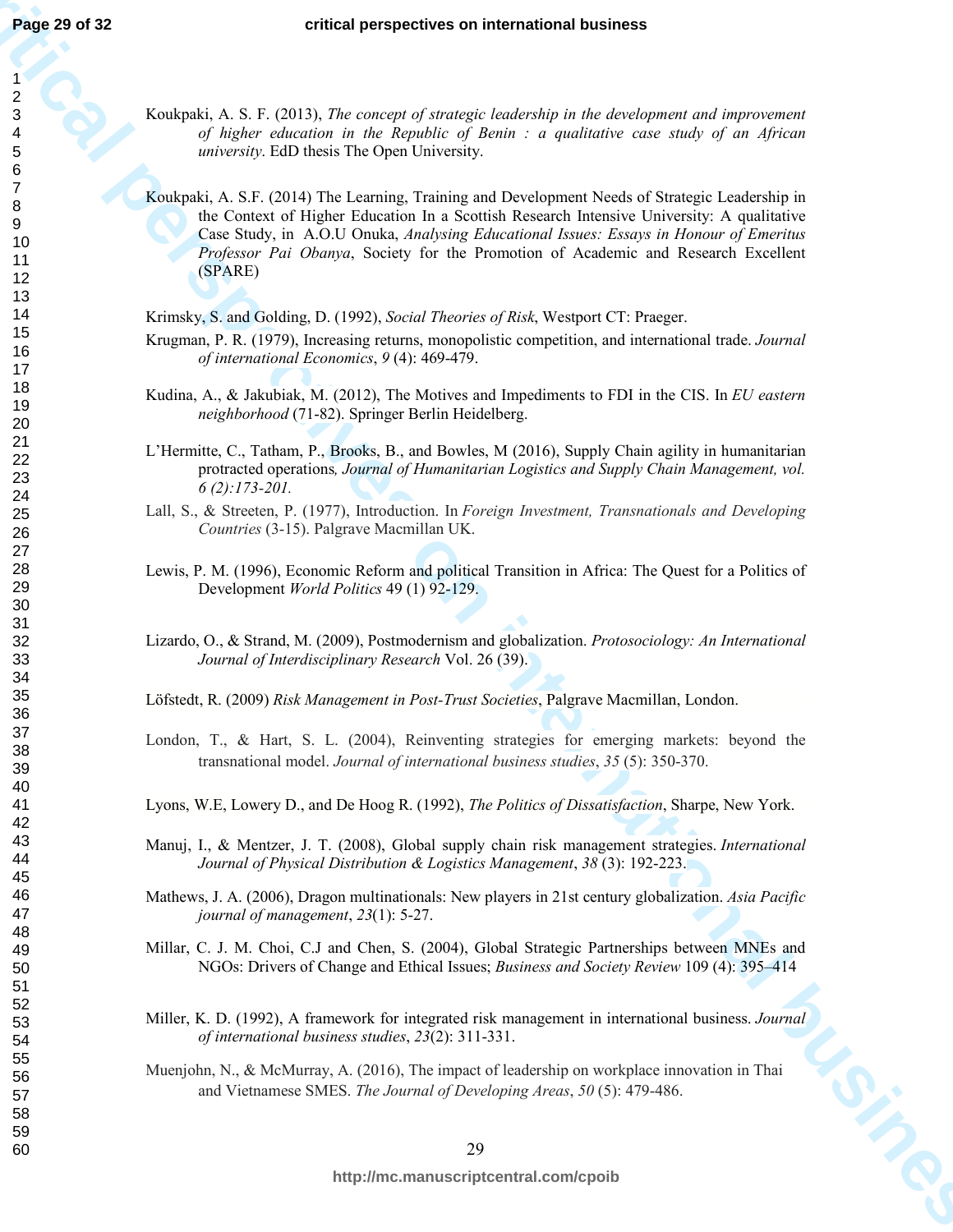Koukpaki, A. S. F. (2013), *The concept of strategic leadership in the development and improvement of higher education in the Republic of Benin : a qualitative case study of an African university*. EdD thesis The Open University.

**Page 21 of 32**<br>
contends, A.S. **F.** (2013). The owner of international business and international distances<br>
contends, A.S. **F.** (2013). The owner of international mate the development and international business in the s Koukpaki, A. S.F. (2014) The Learning, Training and Development Needs of Strategic Leadership in the Context of Higher Education In a Scottish Research Intensive University: A qualitative Case Study, in A.O.U Onuka, *Analysing Educational Issues: Essays in Honour of Emeritus Professor Pai Obanya*, Society for the Promotion of Academic and Research Excellent (SPARE)

Krimsky, S. and Golding, D. (1992), *Social Theories of Risk*, Westport CT: Praeger.

- Krugman, P. R. (1979), Increasing returns, monopolistic competition, and international trade. *Journal of international Economics*, *9* (4): 469-479.
- Kudina, A., & Jakubiak, M. (2012), The Motives and Impediments to FDI in the CIS. In *EU eastern neighborhood* (71-82). Springer Berlin Heidelberg.
- L'Hermitte, C., Tatham, P., Brooks, B., and Bowles, M (2016), Supply Chain agility in humanitarian protracted operations*, Journal of Humanitarian Logistics and Supply Chain Management, vol. 6 (2):173-201.*
- Lall, S., & Streeten, P. (1977), Introduction. In *Foreign Investment, Transnationals and Developing Countries* (3-15). Palgrave Macmillan UK.
- Lewis, P. M. (1996), Economic Reform and political Transition in Africa: The Quest for a Politics of Development *World Politics* 49 (1) 92-129.
- Lizardo, O., & Strand, M. (2009), Postmodernism and globalization. *Protosociology: An International Journal of Interdisciplinary Research* Vol. 26 (39).

Löfstedt, R. (2009) *Risk Management in Post-Trust Societies*, Palgrave Macmillan, London.

- London, T., & Hart, S. L. (2004), Reinventing strategies for emerging markets: beyond the transnational model. *Journal of international business studies*, *35* (5): 350-370.
- Lyons, W.E, Lowery D., and De Hoog R. (1992), *The Politics of Dissatisfaction*, Sharpe, New York.
- Manuj, I., & Mentzer, J. T. (2008), Global supply chain risk management strategies. *International Journal of Physical Distribution & Logistics Management*, *38* (3): 192-223.
- Mathews, J. A. (2006), Dragon multinationals: New players in 21st century globalization. *Asia Pacific journal of management*, *23*(1): 5-27.
- Millar, C. J. M. Choi, C.J and Chen, S. (2004), Global Strategic Partnerships between MNEs and NGOs: Drivers of Change and Ethical Issues; *Business and Society Review* 109 (4): 395–414
- Miller, K. D. (1992), A framework for integrated risk management in international business. *Journal* of international business studies, 23(2): 311-331.<br>Muenjohn, N., & McMurray, A. (2016), The impact of leadership on work *of international business studies*, *23*(2): 311-331.
- Muenjohn, N., & McMurray, A. (2016), The impact of leadership on workplace innovation in Thai and Vietnamese SMES. *The Journal of Developing Areas*, *50* (5): 479-486.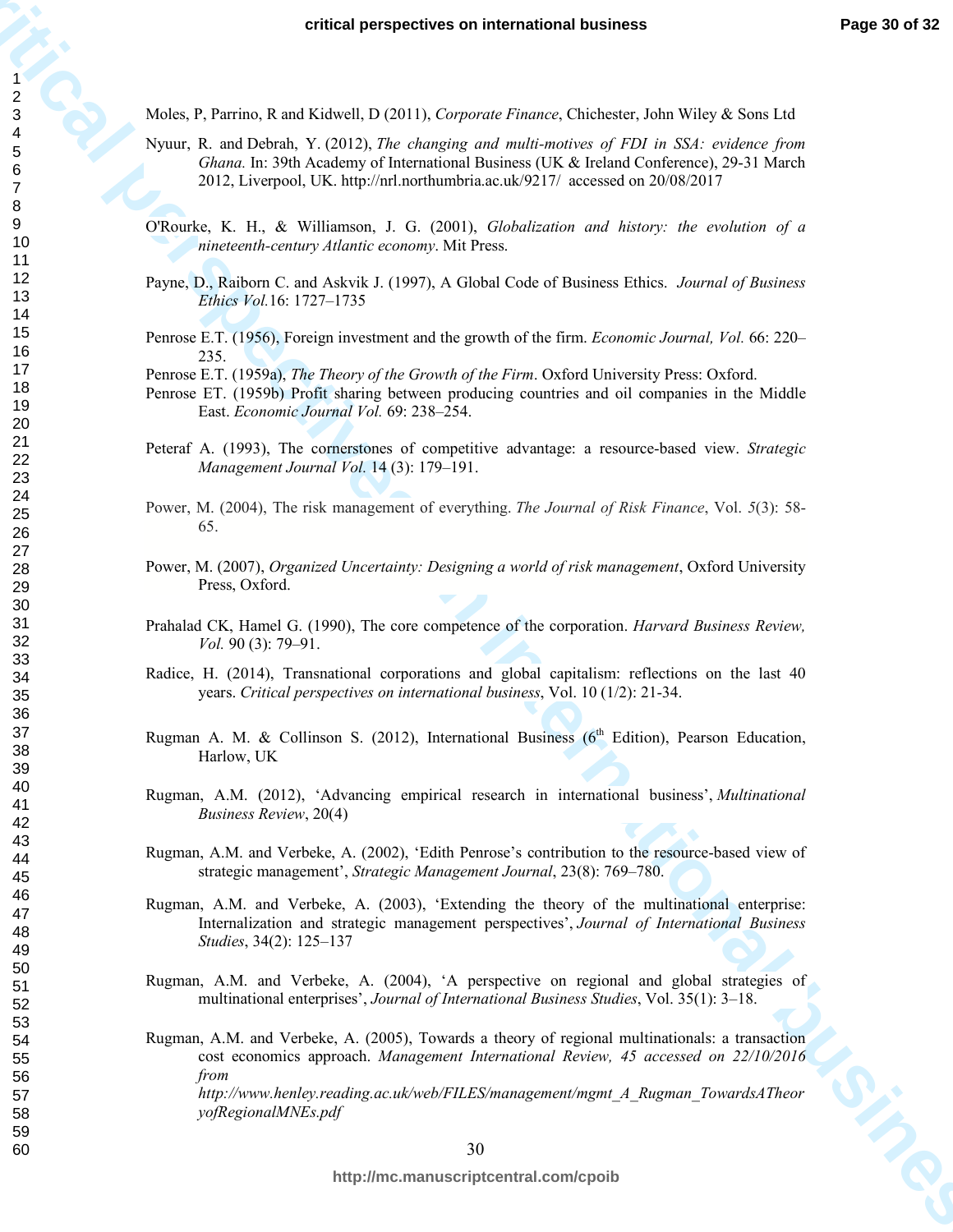Moles, P, Parrino, R and Kidwell, D (2011), *Corporate Finance*, Chichester, John Wiley & Sons Ltd

- Nyuur, R. and Debrah, Y. (2012), *The changing and multi-motives of FDI in SSA: evidence from Ghana.* In: 39th Academy of International Business (UK & Ireland Conference), 29-31 March 2012, Liverpool, UK. http://nrl.northumbria.ac.uk/9217/ accessed on 20/08/2017
- O'Rourke, K. H., & Williamson, J. G. (2001), *Globalization and history: the evolution of a nineteenth-century Atlantic economy*. Mit Press.
- Payne, D., Raiborn C. and Askvik J. (1997), A Global Code of Business Ethics. *Journal of Business Ethics Vol.*16: 1727–1735
- Penrose E.T. (1956), Foreign investment and the growth of the firm. *Economic Journal, Vol.* 66: 220– 235.
- Penrose E.T. (1959a), *The Theory of the Growth of the Firm*. Oxford University Press: Oxford.
- Penrose ET. (1959b) Profit sharing between producing countries and oil companies in the Middle East. *Economic Journal Vol.* 69: 238–254.
- Peteraf A. (1993), The cornerstones of competitive advantage: a resource-based view. *Strategic Management Journal Vol.* 14 (3): 179–191.
- Power, M. (2004), The risk management of everything. *The Journal of Risk Finance*, Vol. *5*(3): 58- 65.
- Power, M. (2007), *Organized Uncertainty: Designing a world of risk management*, Oxford University Press, Oxford.
- Prahalad CK, Hamel G. (1990), The core competence of the corporation. *Harvard Business Review, Vol.* 90 (3): 79–91.
- Radice, H. (2014), Transnational corporations and global capitalism: reflections on the last 40 years. *Critical perspectives on international business*, Vol. 10 (1/2): 21-34.
- Rugman A. M. & Collinson S. (2012), International Business ( $6<sup>th</sup>$  Edition), Pearson Education, Harlow, UK
- Rugman, A.M. (2012), 'Advancing empirical research in international business', *Multinational Business Review*, 20(4)
- Rugman, A.M. and Verbeke, A. (2002), 'Edith Penrose's contribution to the resource-based view of strategic management', *Strategic Management Journal*, 23(8): 769–780.
- Rugman, A.M. and Verbeke, A. (2003), 'Extending the theory of the multinational enterprise: Internalization and strategic management perspectives', *Journal of International Business Studies*, 34(2): 125–137
- Rugman, A.M. and Verbeke, A. (2004), 'A perspective on regional and global strategies of multinational enterprises', *Journal of International Business Studies*, Vol. 35(1): 3–18.
- **critics** perspectives on international business **Frogen 20 of 23**<br>
Mode, P. Preins, Read School, D. D. (1), Organizational Business, Childrens, Lond Wille & Scar Led<br>
Novem, R. and Deb Michair, Columbian and and and mann Rugman, A.M. and Verbeke, A. (2005), Towards a theory of regional multinationals: a transaction cost economics approach. *Management International Review, 45 accessed on 22/10/2016 from http://www.henley.reading.ac.uk/web/FILES/management/mgmt\_A\_Rugman\_TowardsATheor yofRegionalMNEs.pdf*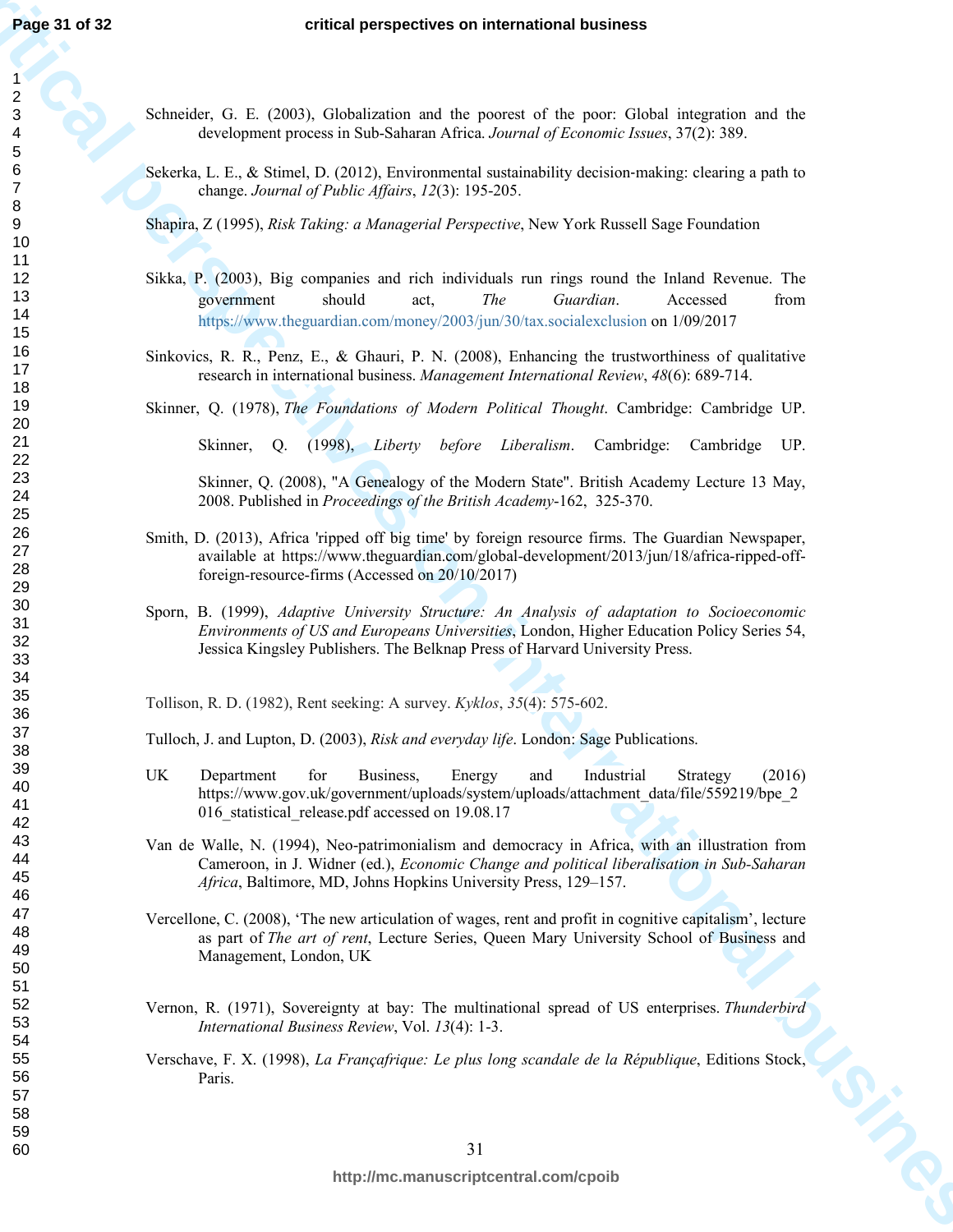- Schneider, G. E. (2003), Globalization and the poorest of the poor: Global integration and the development process in Sub-Saharan Africa. *Journal of Economic Issues*, 37(2): 389.
- Sekerka, L. E., & Stimel, D. (2012), Environmental sustainability decision-making: clearing a path to change. *Journal of Public Affairs*, *12*(3): 195-205.

Shapira, Z (1995), *Risk Taking: a Managerial Perspective*, New York Russell Sage Foundation

- **Page 31 of 32**<br>
critical perspectives on international business<br>  $\frac{2}{5}$ <br>
Schoolid, C, B, (2005), Christianian and the promos of the pact, Coleti European and the<br>
Schoolid, C, B, (2005), C, (2016), C, (2006), C, (2016 Sikka, P. (2003), Big companies and rich individuals run rings round the Inland Revenue. The government should act, *The Guardian*. Accessed from https://www.theguardian.com/money/2003/jun/30/tax.socialexclusion on 1/09/2017
	- Sinkovics, R. R., Penz, E., & Ghauri, P. N. (2008), Enhancing the trustworthiness of qualitative research in international business. *Management International Review*, *48*(6): 689-714.

Skinner, Q. (1978), *The Foundations of Modern Political Thought*. Cambridge: Cambridge UP.

Skinner, Q. (1998), *Liberty before Liberalism*. Cambridge: Cambridge UP.

Skinner, Q. (2008), "A Genealogy of the Modern State". British Academy Lecture 13 May, 2008. Published in *Proceedings of the British Academy*-162, 325-370.

- Smith, D. (2013), Africa 'ripped off big time' by foreign resource firms. The Guardian Newspaper, available at https://www.theguardian.com/global-development/2013/jun/18/africa-ripped-offforeign-resource-firms (Accessed on 20/10/2017)
- Sporn, B. (1999), *Adaptive University Structure: An Analysis of adaptation to Socioeconomic Environments of US and Europeans Universities*, London, Higher Education Policy Series 54, Jessica Kingsley Publishers. The Belknap Press of Harvard University Press.

Tollison, R. D. (1982), Rent seeking: A survey. *Kyklos*, *35*(4): 575-602.

Tulloch, J. and Lupton, D. (2003), *Risk and everyday life*. London: Sage Publications.

- UK Department for Business, Energy and Industrial Strategy (2016) https://www.gov.uk/government/uploads/system/uploads/attachment\_data/file/559219/bpe\_2 016\_statistical\_release.pdf accessed on 19.08.17
- Van de Walle, N. (1994), Neo-patrimonialism and democracy in Africa, with an illustration from Cameroon, in J. Widner (ed.), *Economic Change and political liberalisation in Sub-Saharan Africa*, Baltimore, MD, Johns Hopkins University Press, 129–157.
- Vercellone, C. (2008), 'The new articulation of wages, rent and profit in cognitive capitalism', lecture as part of *The art of rent*, Lecture Series, Queen Mary University School of Business and Management, London, UK
- Vernon, R. (1971), Sovereignty at bay: The multinational spread of US enterprises. *Thunderbird International Business Review*, Vol. *13*(4): 1-3.
- Verschave, F. X. (1998), *La Françafrique: Le plus long scandale de la République*, Editions Stock, Paris.